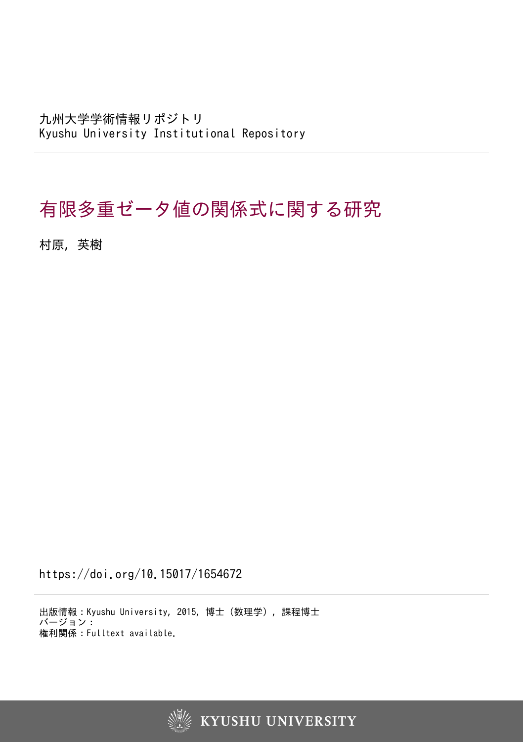九州大学学術情報リポジトリ Kyushu University Institutional Repository

# 有限多重ゼータ値の関係式に関する研究

村原, 英樹

https://doi.org/10.15017/1654672

出版情報:Kyushu University, 2015, 博士(数理学), 課程博士 バージョン: 権利関係:Fulltext available.

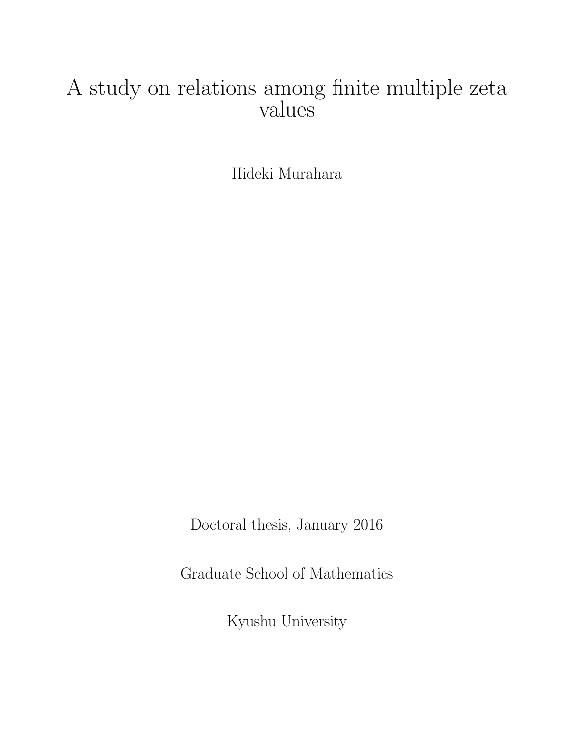# A study on relations among finite multiple zeta values

Hideki Murahara

Doctoral thesis, January 2016

Graduate School of Mathematics

Kyushu University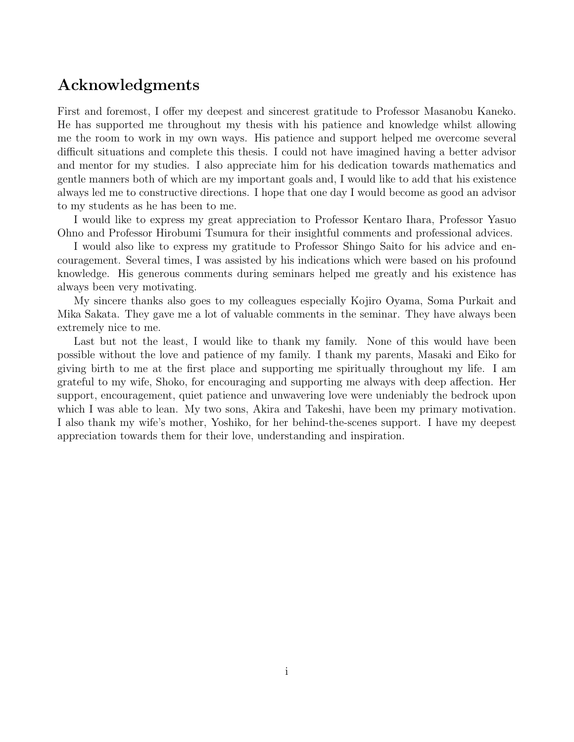## **Acknowledgments**

First and foremost, I offer my deepest and sincerest gratitude to Professor Masanobu Kaneko. He has supported me throughout my thesis with his patience and knowledge whilst allowing me the room to work in my own ways. His patience and support helped me overcome several difficult situations and complete this thesis. I could not have imagined having a better advisor and mentor for my studies. I also appreciate him for his dedication towards mathematics and gentle manners both of which are my important goals and, I would like to add that his existence always led me to constructive directions. I hope that one day I would become as good an advisor to my students as he has been to me.

I would like to express my great appreciation to Professor Kentaro Ihara, Professor Yasuo Ohno and Professor Hirobumi Tsumura for their insightful comments and professional advices.

I would also like to express my gratitude to Professor Shingo Saito for his advice and encouragement. Several times, I was assisted by his indications which were based on his profound knowledge. His generous comments during seminars helped me greatly and his existence has always been very motivating.

My sincere thanks also goes to my colleagues especially Kojiro Oyama, Soma Purkait and Mika Sakata. They gave me a lot of valuable comments in the seminar. They have always been extremely nice to me.

Last but not the least, I would like to thank my family. None of this would have been possible without the love and patience of my family. I thank my parents, Masaki and Eiko for giving birth to me at the first place and supporting me spiritually throughout my life. I am grateful to my wife, Shoko, for encouraging and supporting me always with deep affection. Her support, encouragement, quiet patience and unwavering love were undeniably the bedrock upon which I was able to lean. My two sons, Akira and Takeshi, have been my primary motivation. I also thank my wife's mother, Yoshiko, for her behind-the-scenes support. I have my deepest appreciation towards them for their love, understanding and inspiration.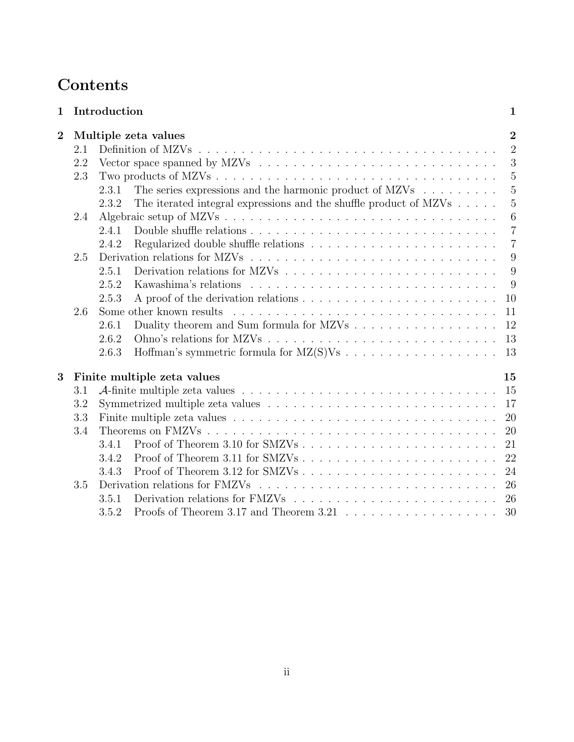# **Contents**

| $\mathbf{1}$   |     | Introduction<br>$\mathbf{1}$                                                                            |
|----------------|-----|---------------------------------------------------------------------------------------------------------|
| $\overline{2}$ |     | $\overline{2}$<br>Multiple zeta values                                                                  |
|                | 2.1 | $\overline{2}$                                                                                          |
|                | 2.2 | 3                                                                                                       |
|                | 2.3 | $\overline{5}$                                                                                          |
|                |     | $\overline{5}$<br>The series expressions and the harmonic product of $MZVs$<br>2.3.1                    |
|                |     | $\overline{5}$<br>The iterated integral expressions and the shuffle product of $MZVs \ldots$ .<br>2.3.2 |
|                | 2.4 | 6                                                                                                       |
|                |     | $\overline{7}$<br>2.4.1                                                                                 |
|                |     | $\overline{7}$<br>2.4.2                                                                                 |
|                | 2.5 | 9                                                                                                       |
|                |     | 9<br>2.5.1                                                                                              |
|                |     | 9<br>2.5.2                                                                                              |
|                |     | 2.5.3<br>10                                                                                             |
|                | 2.6 | Some other known results<br>11                                                                          |
|                |     | Duality theorem and Sum formula for MZVs<br>12<br>2.6.1                                                 |
|                |     | 13<br>2.6.2                                                                                             |
|                |     | 13<br>2.6.3                                                                                             |
| 3              |     | Finite multiple zeta values<br>15                                                                       |
|                | 3.1 | 15                                                                                                      |
|                | 3.2 | 17                                                                                                      |
|                | 3.3 | 20                                                                                                      |
|                | 3.4 | 20                                                                                                      |
|                |     | 21<br>3.4.1                                                                                             |
|                |     | 22<br>3.4.2                                                                                             |
|                |     | 24<br>3.4.3                                                                                             |
|                | 3.5 | 26                                                                                                      |
|                |     | 26<br>3.5.1                                                                                             |
|                |     | 30<br>3.5.2                                                                                             |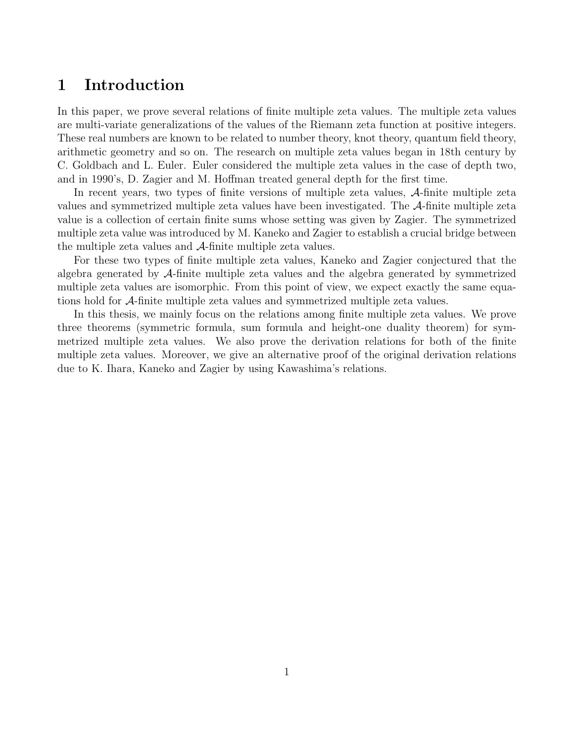## **1 Introduction**

In this paper, we prove several relations of finite multiple zeta values. The multiple zeta values are multi-variate generalizations of the values of the Riemann zeta function at positive integers. These real numbers are known to be related to number theory, knot theory, quantum field theory, arithmetic geometry and so on. The research on multiple zeta values began in 18th century by C. Goldbach and L. Euler. Euler considered the multiple zeta values in the case of depth two, and in 1990's, D. Zagier and M. Hoffman treated general depth for the first time.

In recent years, two types of finite versions of multiple zeta values, *A*-finite multiple zeta values and symmetrized multiple zeta values have been investigated. The *A*-finite multiple zeta value is a collection of certain finite sums whose setting was given by Zagier. The symmetrized multiple zeta value was introduced by M. Kaneko and Zagier to establish a crucial bridge between the multiple zeta values and *A*-finite multiple zeta values.

For these two types of finite multiple zeta values, Kaneko and Zagier conjectured that the algebra generated by *A*-finite multiple zeta values and the algebra generated by symmetrized multiple zeta values are isomorphic. From this point of view, we expect exactly the same equations hold for *A*-finite multiple zeta values and symmetrized multiple zeta values.

In this thesis, we mainly focus on the relations among finite multiple zeta values. We prove three theorems (symmetric formula, sum formula and height-one duality theorem) for symmetrized multiple zeta values. We also prove the derivation relations for both of the finite multiple zeta values. Moreover, we give an alternative proof of the original derivation relations due to K. Ihara, Kaneko and Zagier by using Kawashima's relations.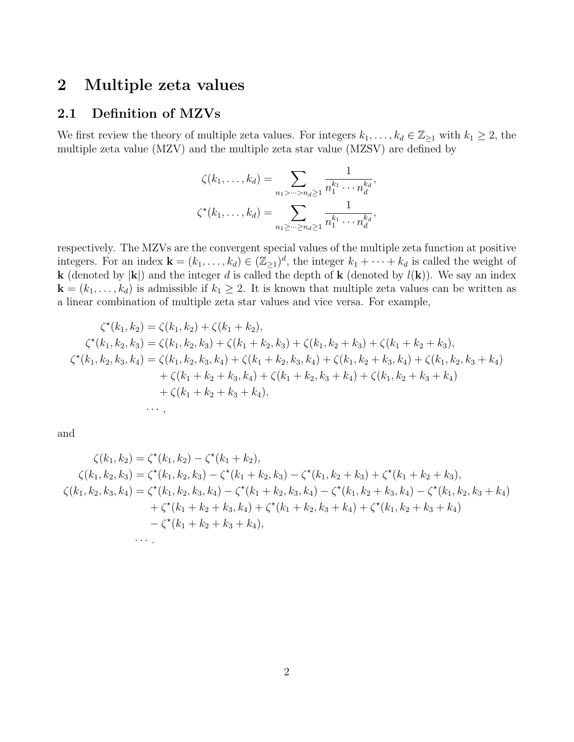# **2 Multiple zeta values**

## **2.1 Definition of MZVs**

We first review the theory of multiple zeta values. For integers  $k_1, \ldots, k_d \in \mathbb{Z}_{\geq 1}$  with  $k_1 \geq 2$ , the multiple zeta value (MZV) and the multiple zeta star value (MZSV) are defined by

$$
\zeta(k_1,\ldots,k_d) = \sum_{n_1>\cdots>n_d\geq 1} \frac{1}{n_1^{k_1}\cdots n_d^{k_d}},
$$

$$
\zeta^{\star}(k_1,\ldots,k_d) = \sum_{n_1\geq \cdots\geq n_d\geq 1} \frac{1}{n_1^{k_1}\cdots n_d^{k_d}},
$$

respectively. The MZVs are the convergent special values of the multiple zeta function at positive integers. For an index  $\mathbf{k} = (k_1, \ldots, k_d) \in (\mathbb{Z}_{\geq 1})^d$ , the integer  $k_1 + \cdots + k_d$  is called the weight of **k** (denoted by  $|\mathbf{k}|$ ) and the integer *d* is called the depth of **k** (denoted by  $l(\mathbf{k})$ ). We say an index  $\mathbf{k} = (k_1, \ldots, k_d)$  is admissible if  $k_1 \geq 2$ . It is known that multiple zeta values can be written as a linear combination of multiple zeta star values and vice versa. For example,

$$
\zeta^*(k_1, k_2) = \zeta(k_1, k_2) + \zeta(k_1 + k_2),
$$
  
\n
$$
\zeta^*(k_1, k_2, k_3) = \zeta(k_1, k_2, k_3) + \zeta(k_1 + k_2, k_3) + \zeta(k_1, k_2 + k_3) + \zeta(k_1 + k_2 + k_3),
$$
  
\n
$$
\zeta^*(k_1, k_2, k_3, k_4) = \zeta(k_1, k_2, k_3, k_4) + \zeta(k_1 + k_2, k_3, k_4) + \zeta(k_1, k_2 + k_3, k_4) + \zeta(k_1, k_2, k_3 + k_4)
$$
  
\n
$$
+ \zeta(k_1 + k_2 + k_3, k_4) + \zeta(k_1 + k_2, k_3 + k_4) + \zeta(k_1, k_2 + k_3 + k_4)
$$
  
\n
$$
+ \zeta(k_1 + k_2 + k_3 + k_4),
$$
  
\n...

and

$$
\zeta(k_1, k_2) = \zeta^*(k_1, k_2) - \zeta^*(k_1 + k_2),
$$
  
\n
$$
\zeta(k_1, k_2, k_3) = \zeta^*(k_1, k_2, k_3) - \zeta^*(k_1 + k_2, k_3) - \zeta^*(k_1, k_2 + k_3) + \zeta^*(k_1 + k_2 + k_3),
$$
  
\n
$$
\zeta(k_1, k_2, k_3, k_4) = \zeta^*(k_1, k_2, k_3, k_4) - \zeta^*(k_1 + k_2, k_3, k_4) - \zeta^*(k_1, k_2 + k_3, k_4) - \zeta^*(k_1, k_2, k_3 + k_4)
$$
  
\n
$$
+ \zeta^*(k_1 + k_2 + k_3, k_4) + \zeta^*(k_1 + k_2, k_3 + k_4) + \zeta^*(k_1, k_2 + k_3 + k_4)
$$
  
\n
$$
- \zeta^*(k_1 + k_2 + k_3 + k_4),
$$
  
\n...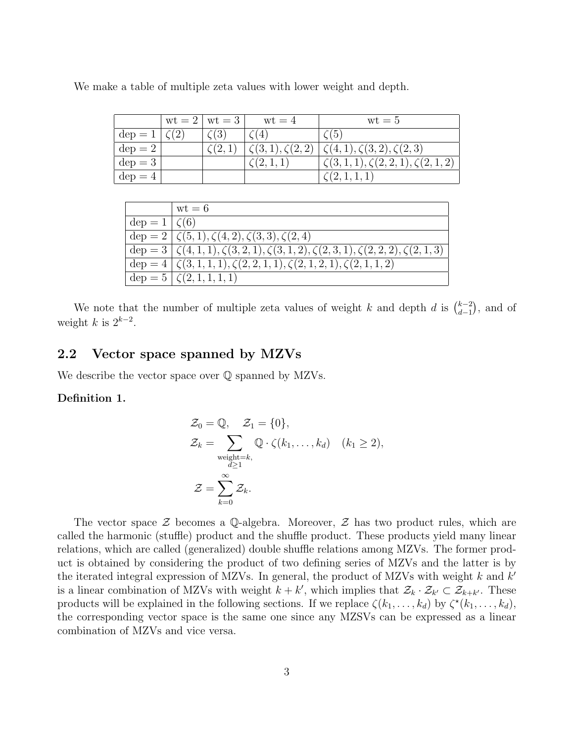|                      | $\text{wt} = 2 \mid \text{wt} = 3 \mid$ | $wt = 4$                 | $wt = 5$                                   |
|----------------------|-----------------------------------------|--------------------------|--------------------------------------------|
| $dep = 1   \zeta(2)$ | $\zeta(3)$                              | $\zeta(4)$               | $\zeta(5)$                                 |
| $dep = 2$            | $\zeta(2,1)$                            | $\zeta(3,1), \zeta(2,2)$ | $\zeta(4,1), \zeta(3,2), \zeta(2,3)$       |
| $dep = 3$            |                                         | $\zeta(2,1,1)$           | $\zeta(3,1,1), \zeta(2,2,1), \zeta(2,1,2)$ |
| $dep = 4$            |                                         |                          | $\zeta(2,1,1,1)$                           |

We make a table of multiple zeta values with lower weight and depth.

|                       | $wt = 6$                                                                                       |
|-----------------------|------------------------------------------------------------------------------------------------|
| $\deg$ = 1 $\zeta(6)$ |                                                                                                |
|                       | dep = 2 $\left[\zeta(5,1), \zeta(4,2), \zeta(3,3), \zeta(2,4)\right]$                          |
|                       | dep = $3   \zeta(4,1,1), \zeta(3,2,1), \zeta(3,1,2), \zeta(2,3,1), \zeta(2,2,2), \zeta(2,1,3)$ |
|                       | dep = $4   \zeta(3,1,1,1), \zeta(2,2,1,1), \zeta(2,1,2,1), \zeta(2,1,1,2)$                     |
|                       | $\deg$ = 5 $\zeta(2, 1, 1, 1, 1)$                                                              |

We note that the number of multiple zeta values of weight *k* and depth *d* is  $\binom{k-2}{d-1}$  $_{d-1}^{k-2}$ ), and of weight *k* is  $2^{k-2}$ .

## **2.2 Vector space spanned by MZVs**

We describe the vector space over Q spanned by MZVs.

## **Definition 1.**

$$
\mathcal{Z}_0 = \mathbb{Q}, \quad \mathcal{Z}_1 = \{0\},
$$
  
\n
$$
\mathcal{Z}_k = \sum_{\substack{\text{weight}=k, \\ d \ge 1}} \mathbb{Q} \cdot \zeta(k_1, \dots, k_d) \quad (k_1 \ge 2),
$$
  
\n
$$
\mathcal{Z} = \sum_{k=0}^{\infty} \mathcal{Z}_k.
$$

The vector space *Z* becomes a Q-algebra. Moreover, *Z* has two product rules, which are called the harmonic (stuffle) product and the shuffle product. These products yield many linear relations, which are called (generalized) double shuffle relations among MZVs. The former product is obtained by considering the product of two defining series of MZVs and the latter is by the iterated integral expression of MZVs. In general, the product of MZVs with weight *k* and *k ′* is a linear combination of MZVs with weight  $k + k'$ , which implies that  $\mathcal{Z}_k \cdot \mathcal{Z}_{k'} \subset \mathcal{Z}_{k+k'}$ . These products will be explained in the following sections. If we replace  $\zeta(k_1,\ldots,k_d)$  by  $\zeta^*(k_1,\ldots,k_d)$ , the corresponding vector space is the same one since any MZSVs can be expressed as a linear combination of MZVs and vice versa.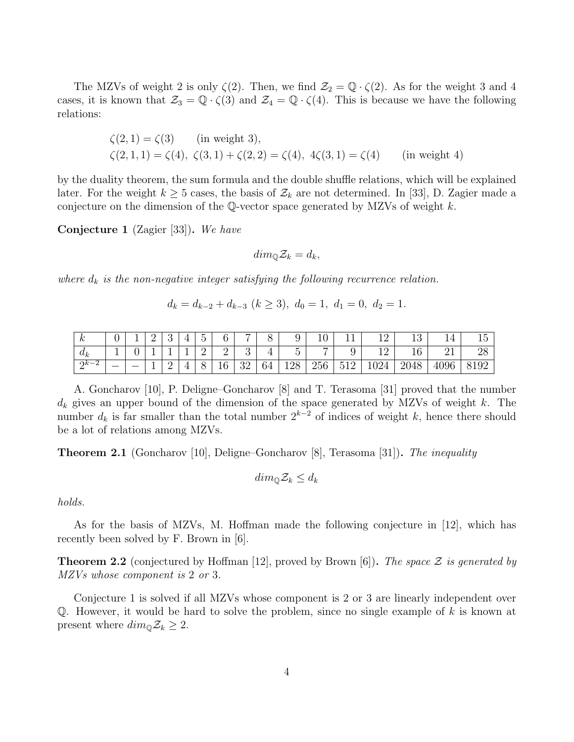The MZVs of weight 2 is only  $\zeta(2)$ . Then, we find  $\mathcal{Z}_2 = \mathbb{Q} \cdot \zeta(2)$ . As for the weight 3 and 4 cases, it is known that  $\mathcal{Z}_3 = \mathbb{Q} \cdot \zeta(3)$  and  $\mathcal{Z}_4 = \mathbb{Q} \cdot \zeta(4)$ . This is because we have the following relations:

$$
\zeta(2,1) = \zeta(3) \quad \text{(in weight 3)},
$$
  
\n
$$
\zeta(2,1,1) = \zeta(4), \zeta(3,1) + \zeta(2,2) = \zeta(4), \ 4\zeta(3,1) = \zeta(4) \quad \text{(in weight 4)}
$$

by the duality theorem, the sum formula and the double shuffle relations, which will be explained later. For the weight  $k \geq 5$  cases, the basis of  $\mathcal{Z}_k$  are not determined. In [33], D. Zagier made a conjecture on the dimension of the Q-vector space generated by MZVs of weight *k*.

**Conjecture 1** (Zagier [33])**.** *We have*

$$
dim_{\mathbb{Q}}\mathcal{Z}_k=d_k,
$$

*where*  $d_k$  *is the non-negative integer satisfying the following recurrence relation.* 

$$
d_k = d_{k-2} + d_{k-3} \ (k \ge 3), \ d_0 = 1, \ d_1 = 0, \ d_2 = 1.
$$

|       |   |   | ∸ | ິ |   | $\tilde{\phantom{a}}$ |             | -        |              | ັ                               | <b>.</b>               | --            | --       | 10<br>⊥∪     |      | -<br>- 12 P.M |
|-------|---|---|---|---|---|-----------------------|-------------|----------|--------------|---------------------------------|------------------------|---------------|----------|--------------|------|---------------|
| $u_k$ |   | ╰ |   |   | - | ∸                     |             |          |              | $\tilde{\phantom{a}}$<br>$\sim$ | $\overline{ }$         | ັ             | -- --    | $\sim$<br>10 |      | ↩             |
| ∩k∙   | _ |   | - | ∸ | - | $\check{~}$           | $\mathbf v$ | າດ<br>◡▱ | $\sim$<br>04 | 128                             | $\Omega$ $\sim$<br>250 | $\sim$<br>·⊥∠ | UZ4<br>- | റല<br>2048   | 4096 | ◡▴◡▱          |

A. Goncharov [10], P. Deligne–Goncharov [8] and T. Terasoma [31] proved that the number *d<sup>k</sup>* gives an upper bound of the dimension of the space generated by MZVs of weight *k*. The number  $d_k$  is far smaller than the total number  $2^{k-2}$  of indices of weight k, hence there should be a lot of relations among MZVs.

**Theorem 2.1** (Goncharov [10], Deligne–Goncharov [8], Terasoma [31])**.** *The inequality*

$$
dim_{\mathbb{Q}}\mathcal{Z}_k \leq d_k
$$

*holds.*

As for the basis of MZVs, M. Hoffman made the following conjecture in [12], which has recently been solved by F. Brown in [6].

**Theorem 2.2** (conjectured by Hoffman [12], proved by Brown [6])**.** *The space Z is generated by MZVs whose component is* 2 *or* 3*.*

Conjecture 1 is solved if all MZVs whose component is 2 or 3 are linearly independent over Q. However, it would be hard to solve the problem, since no single example of *k* is known at present where  $dim_{\mathbb{Q}} \mathcal{Z}_k \geq 2$ .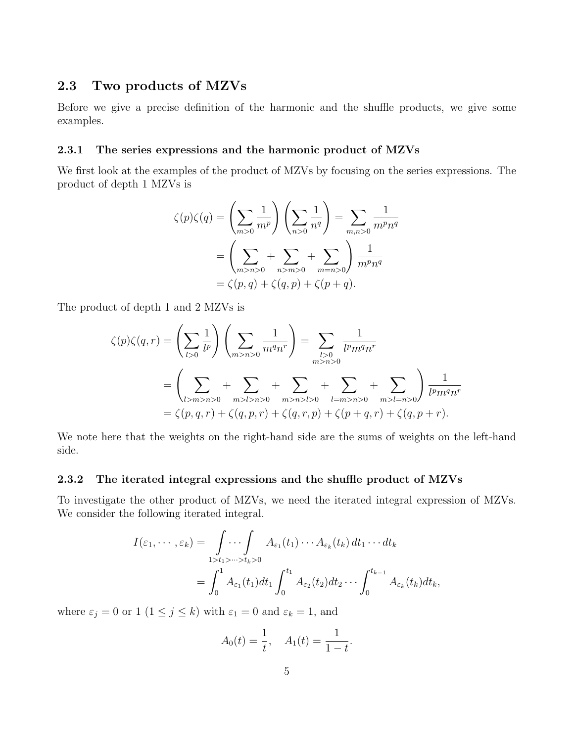## **2.3 Two products of MZVs**

Before we give a precise definition of the harmonic and the shuffle products, we give some examples.

#### **2.3.1 The series expressions and the harmonic product of MZVs**

We first look at the examples of the product of MZVs by focusing on the series expressions. The product of depth 1 MZVs is

$$
\zeta(p)\zeta(q) = \left(\sum_{m>0} \frac{1}{m^p}\right)\left(\sum_{n>0} \frac{1}{n^q}\right) = \sum_{m,n>0} \frac{1}{m^p n^q}
$$

$$
= \left(\sum_{m>n>0} + \sum_{n>m>0} + \sum_{m=n>0} \right)\frac{1}{m^p n^q}
$$

$$
= \zeta(p,q) + \zeta(q,p) + \zeta(p+q).
$$

The product of depth 1 and 2 MZVs is

$$
\zeta(p)\zeta(q,r) = \left(\sum_{l>0} \frac{1}{l^p}\right) \left(\sum_{m>n>0} \frac{1}{m^q n^r}\right) = \sum_{\substack{l>0 \ n>2n>0}} \frac{1}{l^p m^q n^r}
$$

$$
= \left(\sum_{l>m>n>0} + \sum_{m>l>n>0} + \sum_{m>n>l>0} + \sum_{l=m>n>0} + \sum_{m>l=n>0} + \sum_{m>l=n>0} \frac{1}{l^p m^q n^r}
$$

$$
= \zeta(p,q,r) + \zeta(q,p,r) + \zeta(q,r,p) + \zeta(p+q,r) + \zeta(q,p+r).
$$

We note here that the weights on the right-hand side are the sums of weights on the left-hand side.

## **2.3.2 The iterated integral expressions and the shuffle product of MZVs**

To investigate the other product of MZVs, we need the iterated integral expression of MZVs. We consider the following iterated integral.

$$
I(\varepsilon_1,\dots,\varepsilon_k)=\int\limits_{1>t_1>\dots>t_k>0} A_{\varepsilon_1}(t_1)\dots A_{\varepsilon_k}(t_k) dt_1\dots dt_k
$$
  
= 
$$
\int_0^1 A_{\varepsilon_1}(t_1) dt_1 \int_0^{t_1} A_{\varepsilon_2}(t_2) dt_2\dots \int_0^{t_{k-1}} A_{\varepsilon_k}(t_k) dt_k,
$$

where  $\varepsilon_j = 0$  or 1 ( $1 \leq j \leq k$ ) with  $\varepsilon_1 = 0$  and  $\varepsilon_k = 1$ , and

$$
A_0(t) = \frac{1}{t}, \quad A_1(t) = \frac{1}{1-t}.
$$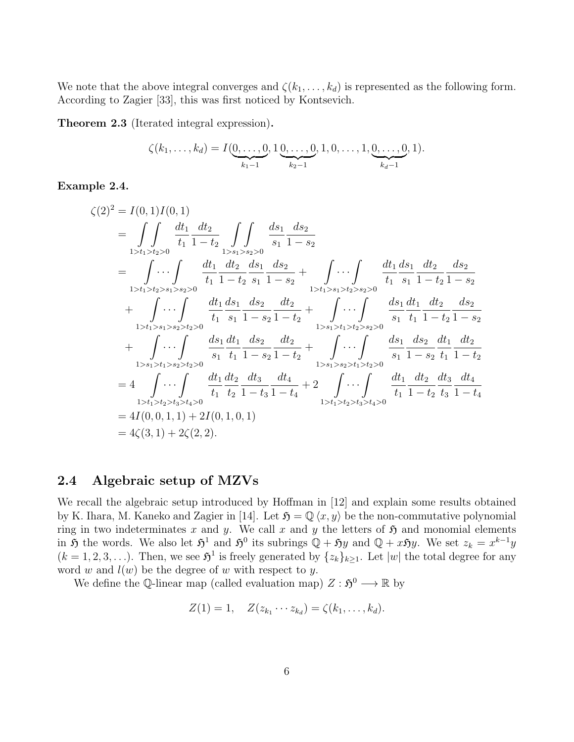We note that the above integral converges and  $\zeta(k_1, \ldots, k_d)$  is represented as the following form. According to Zagier [33], this was first noticed by Kontsevich.

**Theorem 2.3** (Iterated integral expression)**.**

$$
\zeta(k_1,\ldots,k_d) = I(\underbrace{0,\ldots,0}_{k_1-1},1\underbrace{0,\ldots,0}_{k_2-1},1,0,\ldots,1,\underbrace{0,\ldots,0}_{k_d-1},1).
$$

## **Example 2.4.**

$$
\zeta(2)^{2} = I(0,1)I(0,1)
$$
\n
$$
= \int\int\int\limits_{1>_{1} \ge t_1 > t_2 > 0} \frac{dt_1}{t_1} \frac{dt_2}{1-t_2} \int\int\int\limits_{1>_{s_1} \ge t_2 > 0} \frac{ds_1}{s_1} \frac{ds_2}{1-s_2}
$$
\n
$$
= \int\limits_{1>_{t_1} \ge t_2 > s_1 > s_2 > 0} \frac{dt_1}{t_1} \frac{dt_2}{1-t_2} \frac{ds_1}{s_1} \frac{ds_2}{1-s_2} + \int\limits_{1>_{t_1} \ge s_1 > t_2 > s_2 > 0} \frac{dt_1}{t_1} \frac{ds_1}{s_1} \frac{dt_2}{1-t_2} \frac{ds_2}{1-s_2}
$$
\n
$$
+ \int\limits_{1>_{t_1} \ge s_1 > s_2 > t_2 > 0} \frac{dt_1}{t_1} \frac{ds_1}{s_1} \frac{ds_2}{1-s_2} \frac{dt_2}{1-t_2} + \int\limits_{1>_{s_1} \ge t_1 > t_2 > s_2 > 0} \frac{ds_1}{s_1} \frac{dt_1}{t_1} \frac{dt_2}{1-t_2} \frac{ds_2}{1-s_2}
$$
\n
$$
+ \int\limits_{1>_{s_1} \ge t_1 > s_2 > t_2 > 0} \frac{ds_1}{s_1} \frac{dt_1}{t_1} \frac{ds_2}{1-s_2} \frac{dt_2}{1-t_2} + \int\limits_{1>_{s_1} \ge s_1 > t_2 > t_2 > 0} \frac{ds_1}{s_1} \frac{ds_2}{1-s_2} \frac{dt_1}{t_1} \frac{dt_2}{1-t_2}
$$
\n
$$
= 4 \int\limits_{1>_{t_1} \ge t_2 > t_3 > t_4 > 0} \frac{dt_1}{t_1} \frac{dt_2}{t_2} \frac{dt_3}{1-t_3} \frac{dt_4}{1-t_4} + 2 \int\limits_{1> t_1 > t_2 > t_3 > t_4 > 0} \frac{dt_1}{t_1} \frac{dt_2}{1-t_2} \frac{dt_3}{t
$$

## **2.4 Algebraic setup of MZVs**

We recall the algebraic setup introduced by Hoffman in [12] and explain some results obtained by K. Ihara, M. Kaneko and Zagier in [14]. Let  $\mathfrak{H} = \mathbb{Q}\langle x, y \rangle$  be the non-commutative polynomial ring in two indeterminates x and y. We call x and y the letters of  $\mathfrak{H}$  and monomial elements in 5 the words. We also let  $\mathfrak{H}^1$  and  $\mathfrak{H}^0$  its subrings  $\mathbb{Q} + \mathfrak{H}y$  and  $\mathbb{Q} + x\mathfrak{H}y$ . We set  $z_k = x^{k-1}y$  $(k = 1, 2, 3, \ldots)$ . Then, we see  $\mathfrak{H}^1$  is freely generated by  $\{z_k\}_{k \geq 1}$ . Let  $|w|$  the total degree for any word  $w$  and  $l(w)$  be the degree of  $w$  with respect to  $y$ .

We define the Q-linear map (called evaluation map)  $Z: \mathfrak{H}^0 \longrightarrow \mathbb{R}$  by

$$
Z(1) = 1, \quad Z(z_{k_1} \cdots z_{k_d}) = \zeta(k_1, \ldots, k_d).
$$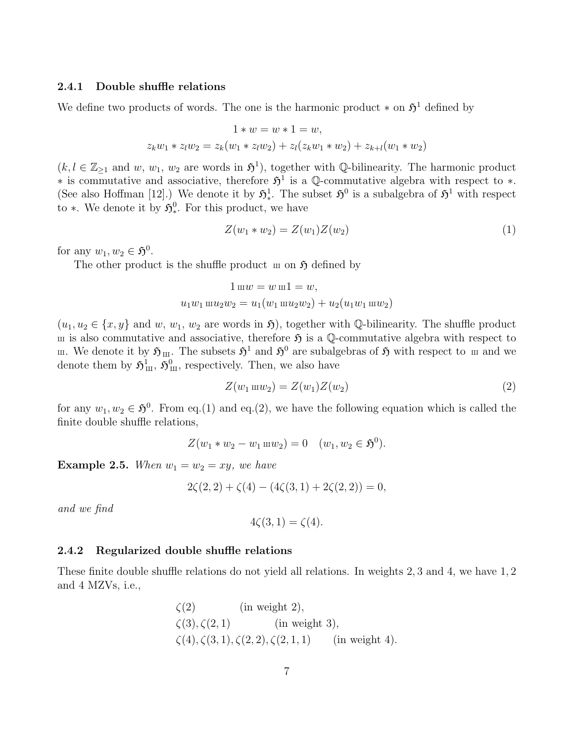### **2.4.1 Double shuffle relations**

We define two products of words. The one is the harmonic product  $*$  on  $\mathfrak{H}^1$  defined by

$$
1 * w = w * 1 = w,
$$
  

$$
z_k w_1 * z_l w_2 = z_k (w_1 * z_l w_2) + z_l (z_k w_1 * w_2) + z_{k+l} (w_1 * w_2)
$$

 $(k, l \in \mathbb{Z}_{\geq 1}$  and *w*, *w*<sub>1</sub>, *w*<sub>2</sub> are words in  $\mathfrak{H}^1$ , together with Q-bilinearity. The harmonic product *∗* is commutative and associative, therefore  $\mathfrak{H}^1$  is a Q-commutative algebra with respect to *\**. (See also Hoffman [12].) We denote it by  $\mathfrak{H}^1_*$ . The subset  $\mathfrak{H}^0$  is a subalgebra of  $\mathfrak{H}^1$  with respect to *∗*. We denote it by  $\mathfrak{H}^0_*$ . For this product, we have

$$
Z(w_1 * w_2) = Z(w_1)Z(w_2)
$$
\n(1)

for any  $w_1, w_2 \in \mathfrak{H}^0$ .

The other product is the shuffle product  $\mathfrak m$  on  $\mathfrak H$  defined by

$$
1 \mathbf{m}w = w \mathbf{m}1 = w,
$$
  

$$
u_1w_1 \mathbf{m}u_2w_2 = u_1(w_1 \mathbf{m}u_2w_2) + u_2(u_1w_1 \mathbf{m}w_2)
$$

 $(u_1, u_2 \in \{x, y\})$  and *w*, *w*<sub>1</sub>, *w*<sub>2</sub> are words in 5), together with Q-bilinearity. The shuffle product  $\mu$  is also commutative and associative, therefore  $\mathfrak{H}$  is a Q-commutative algebra with respect to m. We denote it by  $\mathfrak{H}_{\rm III}$ . The subsets  $\mathfrak{H}^1$  and  $\mathfrak{H}^0$  are subalgebras of  $\mathfrak{H}$  with respect to m and we denote them by  $\mathfrak{H}^1_{\rm III}$ ,  $\mathfrak{H}^0_{\rm III}$ , respectively. Then, we also have

$$
Z(w_1 \,\mathrm{m}w_2) = Z(w_1)Z(w_2) \tag{2}
$$

for any  $w_1, w_2 \in \mathfrak{H}^0$ . From eq.(1) and eq.(2), we have the following equation which is called the finite double shuffle relations,

$$
Z(w_1 * w_2 - w_1 \mathbf{m} w_2) = 0 \quad (w_1, w_2 \in \mathfrak{H}^0).
$$

**Example 2.5.** When  $w_1 = w_2 = xy$ , we have

$$
2\zeta(2,2) + \zeta(4) - (4\zeta(3,1) + 2\zeta(2,2)) = 0,
$$

*and we find*

$$
4\zeta(3,1)=\zeta(4).
$$

### **2.4.2 Regularized double shuffle relations**

These finite double shuffle relations do not yield all relations. In weights 2*,* 3 and 4, we have 1*,* 2 and 4 MZVs, i.e.,

$$
\zeta(2)
$$
 (in weight 2),  
\n $\zeta(3), \zeta(2, 1)$  (in weight 3),  
\n $\zeta(4), \zeta(3, 1), \zeta(2, 2), \zeta(2, 1, 1)$  (in weight 4).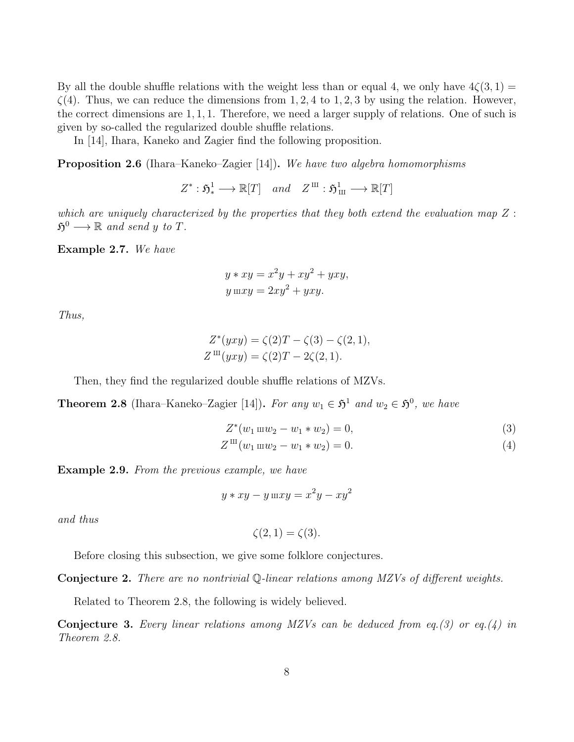By all the double shuffle relations with the weight less than or equal 4, we only have  $4\zeta(3,1)$  =  $\zeta(4)$ . Thus, we can reduce the dimensions from 1, 2, 4 to 1, 2, 3 by using the relation. However, the correct dimensions are 1*,* 1*,* 1. Therefore, we need a larger supply of relations. One of such is given by so-called the regularized double shuffle relations.

In [14], Ihara, Kaneko and Zagier find the following proposition.

**Proposition 2.6** (Ihara–Kaneko–Zagier [14])**.** *We have two algebra homomorphisms*

 $Z^* : \mathfrak{H}^1_* \longrightarrow \mathbb{R}[T]$  *and*  $Z^{\mathrm{III}} : \mathfrak{H}^1_{\mathrm{III}} \longrightarrow \mathbb{R}[T]$ 

*which are uniquely characterized by the properties that they both extend the evaluation map Z* :  $\mathfrak{H}^0 \longrightarrow \mathbb{R}$  and send y to T.

**Example 2.7.** *We have*

$$
y * xy = x2y + xy2 + yxy,
$$
  

$$
y \ln xy = 2xy2 + yxy.
$$

*Thus,*

$$
Z^*(yxy) = \zeta(2)T - \zeta(3) - \zeta(2, 1),
$$
  
\n
$$
Z^{\text{III}}(yxy) = \zeta(2)T - 2\zeta(2, 1).
$$

Then, they find the regularized double shuffle relations of MZVs.

**Theorem 2.8** (Ihara–Kaneko–Zagier [14]). *For any*  $w_1 \in \mathfrak{H}^1$  and  $w_2 \in \mathfrak{H}^0$ , we have

$$
Z^*(w_1 \text{ m} w_2 - w_1 * w_2) = 0,
$$
\n(3)

$$
Z^{\rm III}(w_1 \, \text{m}w_2 - w_1 * w_2) = 0. \tag{4}
$$

**Example 2.9.** *From the previous example, we have*

$$
y * xy - y \ln xy = x^2y - xy^2
$$

*and thus*

$$
\zeta(2,1)=\zeta(3).
$$

Before closing this subsection, we give some folklore conjectures.

**Conjecture 2.** *There are no nontrivial* Q*-linear relations among MZVs of different weights.*

Related to Theorem 2.8, the following is widely believed.

**Conjecture 3.** *Every linear relations among MZVs can be deduced from eq.(3) or eq.(4) in Theorem 2.8.*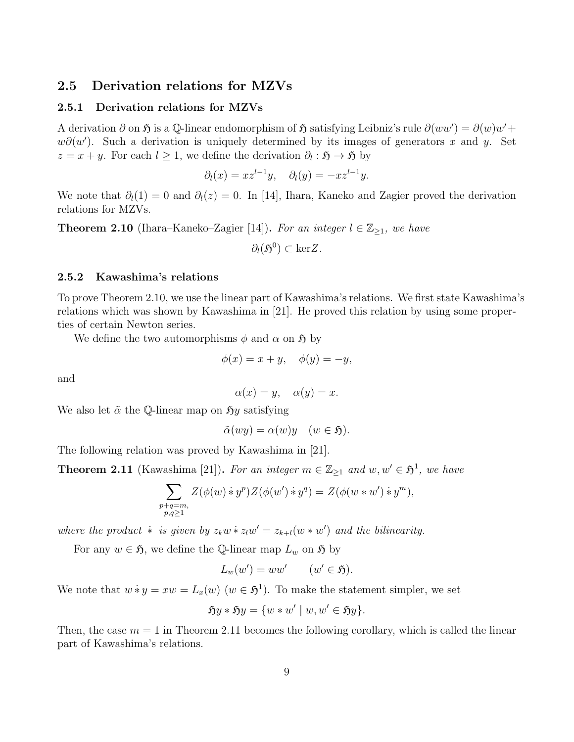## **2.5 Derivation relations for MZVs**

## **2.5.1 Derivation relations for MZVs**

A derivation  $\partial$  on  $\mathfrak{H}$  is a Q-linear endomorphism of  $\mathfrak{H}$  satisfying Leibniz's rule  $\partial (ww') = \partial (w)w' +$ *w∂*(*w*<sup>'</sup>). Such a derivation is uniquely determined by its images of generators *x* and *y*. Set  $z = x + y$ . For each  $l \geq 1$ , we define the derivation  $\partial_l : \mathfrak{H} \to \mathfrak{H}$  by

$$
\partial_l(x) = x z^{l-1} y, \quad \partial_l(y) = -x z^{l-1} y.
$$

We note that  $\partial_l(1) = 0$  and  $\partial_l(z) = 0$ . In [14], Ihara, Kaneko and Zagier proved the derivation relations for MZVs.

**Theorem 2.10** (Ihara–Kaneko–Zagier [14]). For an integer  $l \in \mathbb{Z}_{\geq 1}$ , we have

$$
\partial_l(\mathfrak{H}^0) \subset \ker Z.
$$

#### **2.5.2 Kawashima's relations**

To prove Theorem 2.10, we use the linear part of Kawashima's relations. We first state Kawashima's relations which was shown by Kawashima in [21]. He proved this relation by using some properties of certain Newton series.

We define the two automorphisms  $\phi$  and  $\alpha$  on  $\mathfrak{H}$  by

$$
\phi(x) = x + y, \quad \phi(y) = -y,
$$

and

$$
\alpha(x) = y, \quad \alpha(y) = x.
$$

We also let  $\tilde{\alpha}$  the Q-linear map on  $\mathfrak{H}y$  satisfying

$$
\tilde{\alpha}(wy) = \alpha(w)y \quad (w \in \mathfrak{H}).
$$

The following relation was proved by Kawashima in [21].

**Theorem 2.11** (Kawashima [21]). For an integer  $m \in \mathbb{Z}_{\geq 1}$  and  $w, w' \in \mathfrak{H}^1$ , we have

$$
\sum_{\substack{p+q=m, \\ p,q \ge 1}} Z(\phi(w) * y^p) Z(\phi(w') * y^q) = Z(\phi(w * w') * y^m),
$$

*where the product*  $\dot{*}$  *is given by*  $z_k w \dot{*} z_l w' = z_{k+l}(w * w')$  *and the bilinearity.* 

For any  $w \in \mathfrak{H}$ , we define the Q-linear map  $L_w$  on  $\mathfrak{H}$  by

$$
L_w(w') = ww' \qquad (w' \in \mathfrak{H}).
$$

We note that  $w * y = xw = L_x(w)$   $(w \in \mathfrak{H}^1)$ . To make the statement simpler, we set

$$
Sy * Sy = \{w * w' \mid w, w' \in Sy\}.
$$

Then, the case  $m = 1$  in Theorem 2.11 becomes the following corollary, which is called the linear part of Kawashima's relations.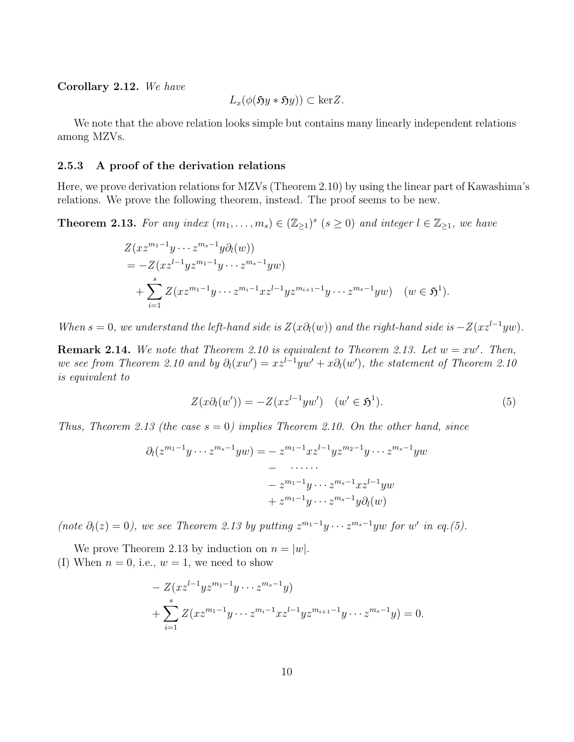### **Corollary 2.12.** *We have*

$$
L_x(\phi(\mathfrak{H}y*\mathfrak{H}y)) \subset \ker Z.
$$

We note that the above relation looks simple but contains many linearly independent relations among MZVs.

#### **2.5.3 A proof of the derivation relations**

Here, we prove derivation relations for MZVs (Theorem 2.10) by using the linear part of Kawashima's relations. We prove the following theorem, instead. The proof seems to be new.

**Theorem 2.13.** For any index  $(m_1, \ldots, m_s) \in (\mathbb{Z}_{\geq 1})^s$   $(s \geq 0)$  and integer  $l \in \mathbb{Z}_{\geq 1}$ , we have

$$
Z(xz^{m_1-1}y\cdots z^{m_s-1}y\partial_l(w))
$$
  
=  $-Z(xz^{l-1}yz^{m_1-1}y\cdots z^{m_s-1}yw)$   
+  $\sum_{i=1}^s Z(xz^{m_1-1}y\cdots z^{m_i-1}xz^{l-1}yz^{m_{i+1}-1}y\cdots z^{m_s-1}yw)$   $(w \in \mathfrak{H}^1).$ 

*When*  $s = 0$ , we understand the left-hand side is  $Z(x\partial_l(w))$  and the right-hand side is  $-Z(xz^{l-1}yw)$ .

**Remark 2.14.** We note that Theorem 2.10 is equivalent to Theorem 2.13. Let  $w = xw'$ . Then, *we see from Theorem 2.10 and by*  $\partial_l(xw') = xz^{l-1}yw' + x\partial_l(w')$ , the statement of Theorem 2.10 *is equivalent to*

$$
Z(x\partial_t(w')) = -Z(xz^{l-1}yw') \quad (w' \in \mathfrak{H}^1). \tag{5}
$$

*Thus, Theorem 2.13 (the case s* = 0*) implies Theorem 2.10. On the other hand, since*

$$
\partial_l(z^{m_1-1}y\cdots z^{m_s-1}yw) = -z^{m_1-1}xz^{l-1}yz^{m_2-1}y\cdots z^{m_s-1}yw
$$

$$
-\cdots
$$

$$
-z^{m_1-1}y\cdots z^{m_s-1}xz^{l-1}yw
$$

$$
+z^{m_1-1}y\cdots z^{m_s-1}y\partial_l(w)
$$

(note  $\partial_l(z) = 0$ ), we see Theorem 2.13 by putting  $z^{m_1-1}y \cdots z^{m_s-1}y$  for w' in eq.(5).

We prove Theorem 2.13 by induction on  $n = |w|$ . (I) When  $n = 0$ , i.e.,  $w = 1$ , we need to show

$$
- Z(xz^{l-1}yz^{m_1-1}y \cdots z^{m_s-1}y)
$$
  
+ 
$$
\sum_{i=1}^s Z(xz^{m_1-1}y \cdots z^{m_i-1}xz^{l-1}yz^{m_{i+1}-1}y \cdots z^{m_s-1}y) = 0.
$$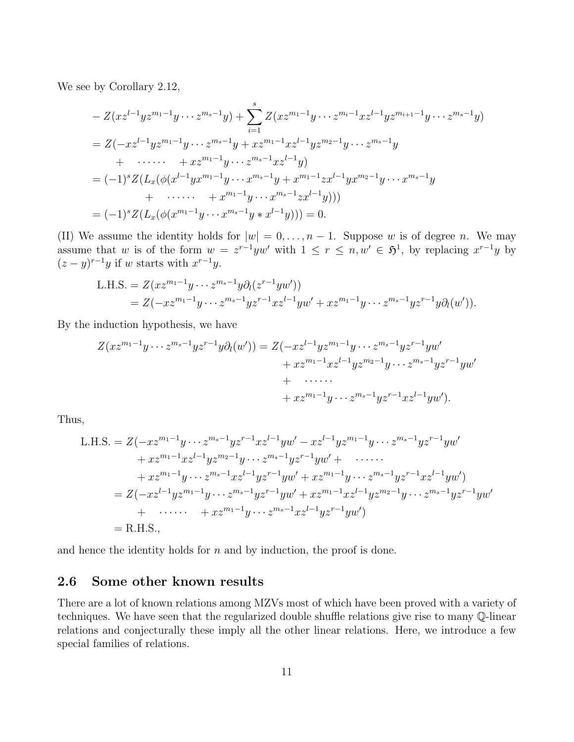We see by Corollary 2.12,

$$
- Z(xz^{l-1}yz^{m_1-1}y \cdots z^{m_s-1}y) + \sum_{i=1}^{s} Z(xz^{m_1-1}y \cdots z^{m_i-1}xz^{l-1}yz^{m_{i+1}-1}y \cdots z^{m_s-1}y)
$$
  
=  $Z(-xz^{l-1}yz^{m_1-1}y \cdots z^{m_s-1}y + xz^{m_1-1}xz^{l-1}yz^{m_2-1}y \cdots z^{m_s-1}y$   
+  $\cdots \cdots + xz^{m_1-1}y \cdots z^{m_s-1}xz^{l-1}y$ )  
=  $(-1)^s Z(L_x(\phi(x^{l-1}yx^{m_1-1}y \cdots x^{m_s-1}y + x^{m_1-1}zx^{l-1}yx^{m_2-1}y \cdots x^{m_s-1}y$   
+  $\cdots \cdots + x^{m_1-1}y \cdots x^{m_s-1}zx^{l-1}y))$ )  
=  $(-1)^s Z(L_x(\phi(x^{m_1-1}y \cdots x^{m_s-1}y * x^{l-1}y))) = 0.$ 

(II) We assume the identity holds for  $|w| = 0, \ldots, n-1$ . Suppose *w* is of degree *n*. We may assume that *w* is of the form  $w = z^{r-1}yw'$  with  $1 \leq r \leq n, w' \in \mathfrak{H}^1$ , by replacing  $x^{r-1}y$  by  $(z - y)^{r-1}y$  if *w* starts with  $x^{r-1}y$ .

L.H.S. = 
$$
Z(xz^{m_1-1}y \cdots z^{m_s-1}y\partial_l(z^{r-1}yw'))
$$
  
=  $Z(-xz^{m_1-1}y \cdots z^{m_s-1}yz^{r-1}xz^{l-1}yw' + xz^{m_1-1}y \cdots z^{m_s-1}yz^{r-1}y\partial_l(w')).$ 

By the induction hypothesis, we have

$$
Z(xz^{m_1-1}y\cdots z^{m_s-1}yz^{r-1}y\partial_l(w')) = Z(-xz^{l-1}yz^{m_1-1}y\cdots z^{m_s-1}yz^{r-1}yw' + xz^{m_1-1}xz^{l-1}yz^{m_2-1}y\cdots z^{m_s-1}yz^{r-1}yw' + \cdots \cdots + xz^{m_1-1}y\cdots z^{m_s-1}yz^{r-1}xz^{l-1}yw'.
$$

Thus,

L.H.S. = 
$$
Z(-xz^{m_1-1}y \cdots z^{m_s-1}yz^{r-1}xz^{l-1}yw' - xz^{l-1}yz^{m_1-1}y \cdots z^{m_s-1}yz^{r-1}yw'
$$
  
\t $+ xz^{m_1-1}xz^{l-1}yz^{m_2-1}y \cdots z^{m_s-1}yz^{r-1}yw' + \cdots$   
\t $+ xz^{m_1-1}y \cdots z^{m_s-1}xz^{l-1}yz^{r-1}yw' + xz^{m_1-1}y \cdots z^{m_s-1}yz^{r-1}xz^{l-1}yw'$   
\t $= Z(-xz^{l-1}yz^{m_1-1}y \cdots z^{m_s-1}yz^{r-1}yw' + xz^{m_1-1}xz^{l-1}yz^{m_2-1}y \cdots z^{m_s-1}yz^{r-1}yw'$   
\t $+ \cdots + xz^{m_1-1}y \cdots z^{m_s-1}xz^{l-1}yz^{r-1}yw')$   
\t $= R.H.S.,$ 

and hence the identity holds for *n* and by induction, the proof is done.

## **2.6 Some other known results**

There are a lot of known relations among MZVs most of which have been proved with a variety of techniques. We have seen that the regularized double shuffle relations give rise to many Q-linear relations and conjecturally these imply all the other linear relations. Here, we introduce a few special families of relations.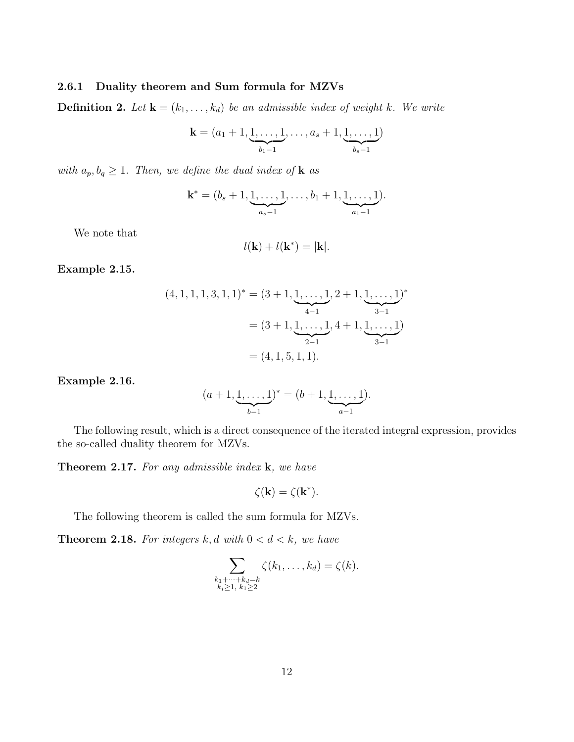### **2.6.1 Duality theorem and Sum formula for MZVs**

**Definition 2.** Let  $\mathbf{k} = (k_1, \ldots, k_d)$  be an admissible index of weight k. We write

$$
\mathbf{k} = (a_1 + 1, \underbrace{1, \dots, 1}_{b_1 - 1}, \dots, a_s + 1, \underbrace{1, \dots, 1}_{b_s - 1})
$$

*with*  $a_p, b_q \geq 1$ *. Then, we define the dual index of* **k** *as* 

$$
\mathbf{k}^* = (b_s+1,\underbrace{1,\ldots,1}_{a_s-1},\ldots,b_1+1,\underbrace{1,\ldots,1}_{a_1-1}).
$$

We note that

$$
l(\mathbf{k}) + l(\mathbf{k}^*) = |\mathbf{k}|.
$$

**Example 2.15.**

$$
(4, 1, 1, 1, 3, 1, 1)^{*} = (3 + 1, \underbrace{1, \dots, 1}_{4-1}, 2 + 1, \underbrace{1, \dots, 1}_{3-1})^{*}
$$

$$
= (3 + 1, \underbrace{1, \dots, 1}_{2-1}, 4 + 1, \underbrace{1, \dots, 1}_{3-1})
$$

$$
= (4, 1, 5, 1, 1).
$$

**Example 2.16.**

$$
(a+1, \underbrace{1, \ldots, 1}_{b-1})^* = (b+1, \underbrace{1, \ldots, 1}_{a-1}).
$$

The following result, which is a direct consequence of the iterated integral expression, provides the so-called duality theorem for MZVs.

**Theorem 2.17.** *For any admissible index* **k***, we have*

$$
\zeta(\mathbf{k}) = \zeta(\mathbf{k}^*).
$$

The following theorem is called the sum formula for MZVs.

**Theorem 2.18.** For integers  $k, d$  with  $0 < d < k$ , we have

$$
\sum_{\substack{k_1+\cdots+k_d=k\\k_i\geq 1,\ k_1\geq 2}} \zeta(k_1,\ldots,k_d)=\zeta(k).
$$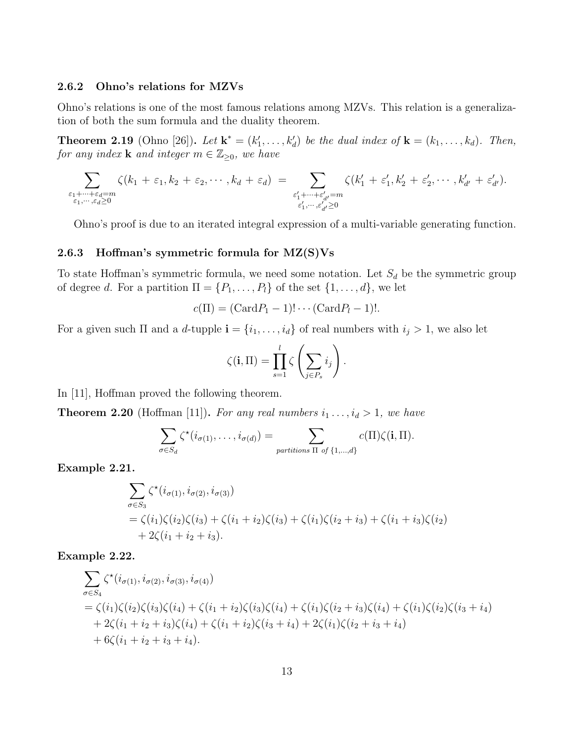#### **2.6.2 Ohno's relations for MZVs**

Ohno's relations is one of the most famous relations among MZVs. This relation is a generalization of both the sum formula and the duality theorem.

**Theorem 2.19** (Ohno [26]). Let  $\mathbf{k}^* = (k'_1, \ldots, k'_d)$  be the dual index of  $\mathbf{k} = (k_1, \ldots, k_d)$ . Then, *for any index* **k** *and integer*  $m \in \mathbb{Z}_{\geq 0}$ *, we have* 

$$
\sum_{\substack{\varepsilon_1+\cdots+\varepsilon_d=m\\\varepsilon_1,\cdots,\varepsilon_d\geq 0}}\zeta(k_1+\varepsilon_1,k_2+\varepsilon_2,\cdots,k_d+\varepsilon_d) = \sum_{\substack{\varepsilon'_1+\cdots+\varepsilon'_{d'}=m\\\varepsilon'_1,\cdots,\varepsilon'_d\geq 0}}\zeta(k'_1+\varepsilon'_1,k'_2+\varepsilon'_2,\cdots,k'_{d'}+\varepsilon'_{d'}).
$$

Ohno's proof is due to an iterated integral expression of a multi-variable generating function.

## **2.6.3 Hoffman's symmetric formula for MZ(S)Vs**

To state Hoffman's symmetric formula, we need some notation. Let *S<sup>d</sup>* be the symmetric group of degree *d*. For a partition  $\Pi = \{P_1, \ldots, P_l\}$  of the set  $\{1, \ldots, d\}$ , we let

$$
c(\Pi) = (\text{Card} P_1 - 1)! \cdots (\text{Card} P_l - 1)!.
$$

For a given such  $\Pi$  and a *d*-tupple  $\mathbf{i} = \{i_1, \ldots, i_d\}$  of real numbers with  $i_j > 1$ , we also let

$$
\zeta(\mathbf{i},\Pi)=\prod_{s=1}^l\zeta\left(\sum_{j\in P_s}i_j\right).
$$

In [11], Hoffman proved the following theorem.

**Theorem 2.20** (Hoffman [11]). For any real numbers  $i_1, \ldots, i_d > 1$ , we have

$$
\sum_{\sigma \in S_d} \zeta^{\star}(i_{\sigma(1)}, \ldots, i_{\sigma(d)}) = \sum_{\text{partitions } \Pi \text{ of } \{1, \ldots, d\}} c(\Pi) \zeta(\mathbf{i}, \Pi).
$$

**Example 2.21.**

$$
\sum_{\sigma \in S_3} \zeta^*(i_{\sigma(1)}, i_{\sigma(2)}, i_{\sigma(3)})
$$
\n
$$
= \zeta(i_1)\zeta(i_2)\zeta(i_3) + \zeta(i_1 + i_2)\zeta(i_3) + \zeta(i_1)\zeta(i_2 + i_3) + \zeta(i_1 + i_3)\zeta(i_2)
$$
\n
$$
+ 2\zeta(i_1 + i_2 + i_3).
$$

## **Example 2.22.**

$$
\sum_{\sigma \in S_4} \zeta^*(i_{\sigma(1)}, i_{\sigma(2)}, i_{\sigma(3)}, i_{\sigma(4)})
$$
\n
$$
= \zeta(i_1) \zeta(i_2) \zeta(i_3) \zeta(i_4) + \zeta(i_1 + i_2) \zeta(i_3) \zeta(i_4) + \zeta(i_1) \zeta(i_2 + i_3) \zeta(i_4) + \zeta(i_1) \zeta(i_2) \zeta(i_3 + i_4)
$$
\n
$$
+ 2\zeta(i_1 + i_2 + i_3) \zeta(i_4) + \zeta(i_1 + i_2) \zeta(i_3 + i_4) + 2\zeta(i_1) \zeta(i_2 + i_3 + i_4)
$$
\n
$$
+ 6\zeta(i_1 + i_2 + i_3 + i_4).
$$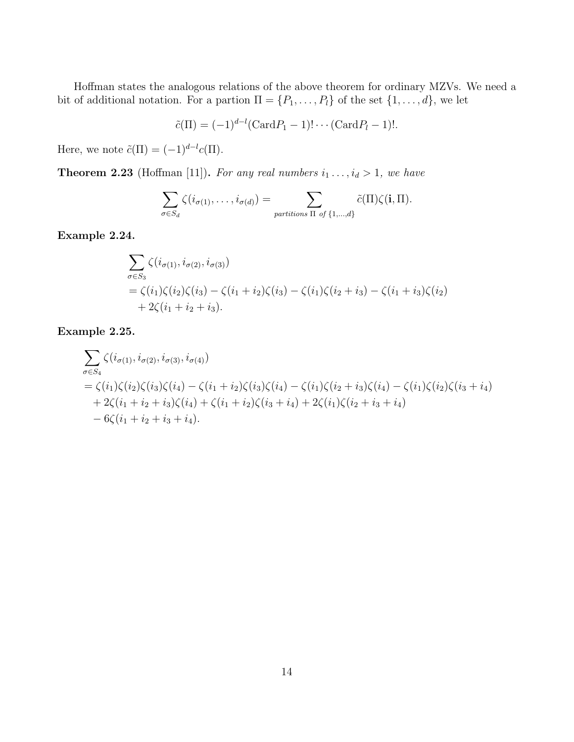Hoffman states the analogous relations of the above theorem for ordinary MZVs. We need a bit of additional notation. For a partion  $\Pi = \{P_1, \ldots, P_l\}$  of the set  $\{1, \ldots, d\}$ , we let

$$
\tilde{c}(\Pi) = (-1)^{d-l} (\text{Card} P_1 - 1)! \cdots (\text{Card} P_l - 1)!.
$$

Here, we note  $\tilde{c}(\Pi) = (-1)^{d-l} c(\Pi)$ .

**Theorem 2.23** (Hoffman [11]). For any real numbers  $i_1, \ldots, i_d > 1$ , we have

$$
\sum_{\sigma \in S_d} \zeta(i_{\sigma(1)}, \ldots, i_{\sigma(d)}) = \sum_{\text{partitions } \Pi \text{ of } \{1, \ldots, d\}} \tilde{c}(\Pi) \zeta(\mathbf{i}, \Pi).
$$

**Example 2.24.**

$$
\sum_{\sigma \in S_3} \zeta(i_{\sigma(1)}, i_{\sigma(2)}, i_{\sigma(3)})
$$
\n
$$
= \zeta(i_1)\zeta(i_2)\zeta(i_3) - \zeta(i_1 + i_2)\zeta(i_3) - \zeta(i_1)\zeta(i_2 + i_3) - \zeta(i_1 + i_3)\zeta(i_2)
$$
\n
$$
+ 2\zeta(i_1 + i_2 + i_3).
$$

**Example 2.25.**

$$
\sum_{\sigma \in S_4} \zeta(i_{\sigma(1)}, i_{\sigma(2)}, i_{\sigma(3)}, i_{\sigma(4)})
$$
\n
$$
= \zeta(i_1)\zeta(i_2)\zeta(i_3)\zeta(i_4) - \zeta(i_1 + i_2)\zeta(i_3)\zeta(i_4) - \zeta(i_1)\zeta(i_2 + i_3)\zeta(i_4) - \zeta(i_1)\zeta(i_2)\zeta(i_3 + i_4)
$$
\n
$$
+ 2\zeta(i_1 + i_2 + i_3)\zeta(i_4) + \zeta(i_1 + i_2)\zeta(i_3 + i_4) + 2\zeta(i_1)\zeta(i_2 + i_3 + i_4)
$$
\n
$$
- 6\zeta(i_1 + i_2 + i_3 + i_4).
$$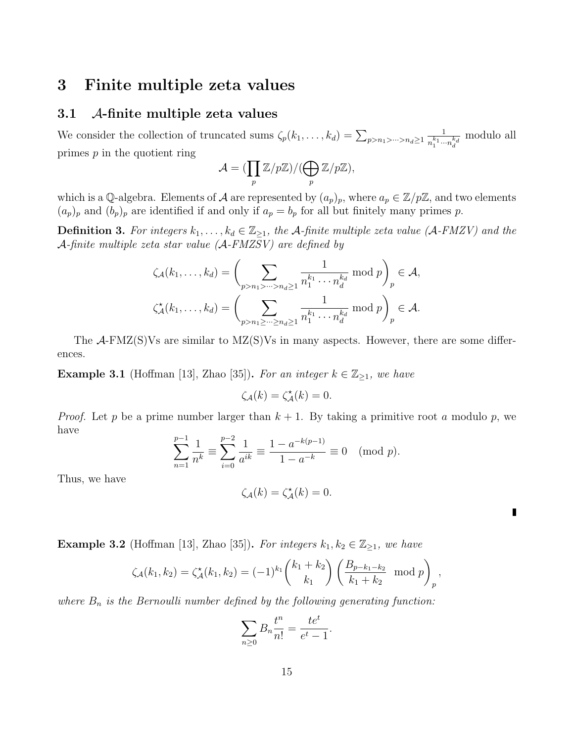## **3 Finite multiple zeta values**

## **3.1** *A***-finite multiple zeta values**

We consider the collection of truncated sums  $\zeta_p(k_1, \ldots, k_d) = \sum_{p > n_1 > \cdots > n_d \ge 1}$ 1  $n_1^{k_1} \cdots n_d^{k_d}$ modulo all primes *p* in the quotient ring

$$
\mathcal{A} = (\prod_p \mathbb{Z}/p\mathbb{Z})/(\bigoplus_p \mathbb{Z}/p\mathbb{Z}),
$$

which is a Q-algebra. Elements of *A* are represented by  $(a_p)_p$ , where  $a_p \in \mathbb{Z}/p\mathbb{Z}$ , and two elements  $(a_p)_p$  and  $(b_p)_p$  are identified if and only if  $a_p = b_p$  for all but finitely many primes p.

**Definition 3.** For integers  $k_1, \ldots, k_d \in \mathbb{Z}_{\geq 1}$ , the A-finite multiple zeta value (A-FMZV) and the *A-finite multiple zeta star value (A-FMZSV) are defined by*

$$
\zeta_{\mathcal{A}}(k_1,\ldots,k_d) = \left(\sum_{p>n_1>\cdots>n_d\geq 1} \frac{1}{n_1^{k_1}\cdots n_d^{k_d}} \bmod p\right)_p \in \mathcal{A},
$$

$$
\zeta_{\mathcal{A}}^{\star}(k_1,\ldots,k_d) = \left(\sum_{p>n_1\geq \cdots\geq n_d\geq 1} \frac{1}{n_1^{k_1}\cdots n_d^{k_d}} \bmod p\right)_p \in \mathcal{A}.
$$

The *A*-FMZ(S)Vs are similar to MZ(S)Vs in many aspects. However, there are some differences.

**Example 3.1** (Hoffman [13], Zhao [35]). For an integer  $k \in \mathbb{Z}_{\geq 1}$ , we have

$$
\zeta_{\mathcal{A}}(k) = \zeta_{\mathcal{A}}^{\star}(k) = 0.
$$

*Proof.* Let *p* be a prime number larger than  $k + 1$ . By taking a primitive root *a* modulo *p*, we have

$$
\sum_{n=1}^{p-1} \frac{1}{n^k} \equiv \sum_{i=0}^{p-2} \frac{1}{a^{ik}} \equiv \frac{1 - a^{-k(p-1)}}{1 - a^{-k}} \equiv 0 \pmod{p}.
$$

Thus, we have

$$
\zeta_{\mathcal{A}}(k) = \zeta_{\mathcal{A}}^{\star}(k) = 0.
$$

П

**Example 3.2** (Hoffman [13], Zhao [35]). For integers  $k_1, k_2 \in \mathbb{Z}_{\geq 1}$ , we have

$$
\zeta_{\mathcal{A}}(k_1,k_2) = \zeta_{\mathcal{A}}^{\star}(k_1,k_2) = (-1)^{k_1} \binom{k_1+k_2}{k_1} \left( \frac{B_{p-k_1-k_2}}{k_1+k_2} \mod p \right)_p,
$$

*where B<sup>n</sup> is the Bernoulli number defined by the following generating function:*

$$
\sum_{n\geq 0} B_n \frac{t^n}{n!} = \frac{te^t}{e^t - 1}.
$$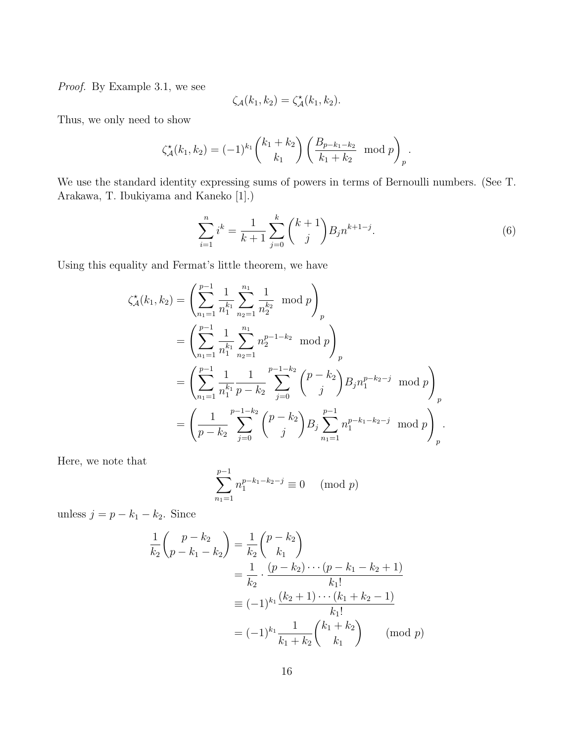*Proof.* By Example 3.1, we see

$$
\zeta_{\mathcal{A}}(k_1,k_2)=\zeta_{\mathcal{A}}^{\star}(k_1,k_2).
$$

Thus, we only need to show

$$
\zeta_{\mathcal{A}}^{\star}(k_1, k_2) = (-1)^{k_1} \binom{k_1 + k_2}{k_1} \left( \frac{B_{p-k_1-k_2}}{k_1 + k_2} \mod p \right)_p.
$$

We use the standard identity expressing sums of powers in terms of Bernoulli numbers. (See T. Arakawa, T. Ibukiyama and Kaneko [1].)

$$
\sum_{i=1}^{n} i^{k} = \frac{1}{k+1} \sum_{j=0}^{k} {k+1 \choose j} B_{j} n^{k+1-j}.
$$
 (6)

Using this equality and Fermat's little theorem, we have

$$
\zeta_{\mathcal{A}}^{\star}(k_{1},k_{2}) = \left(\sum_{n_{1}=1}^{p-1} \frac{1}{n_{1}^{k_{1}}}\sum_{n_{2}=1}^{n_{1}} \frac{1}{n_{2}^{k_{2}}}\mod p\right)_{p}
$$
  
\n
$$
= \left(\sum_{n_{1}=1}^{p-1} \frac{1}{n_{1}^{k_{1}}}\sum_{n_{2}=1}^{n_{1}} n_{2}^{p-1-k_{2}}\mod p\right)_{p}
$$
  
\n
$$
= \left(\sum_{n_{1}=1}^{p-1} \frac{1}{n_{1}^{k_{1}}}\frac{1}{p-k_{2}}\sum_{j=0}^{p-1-k_{2}} {p-k_{2} \choose j} B_{j} n_{1}^{p-k_{2}-j} \mod p\right)_{p}
$$
  
\n
$$
= \left(\frac{1}{p-k_{2}}\sum_{j=0}^{p-1-k_{2}} {p-k_{2} \choose j} B_{j} \sum_{n_{1}=1}^{p-1} n_{1}^{p-k_{1}-k_{2}-j} \mod p\right)_{p}.
$$

Here, we note that

$$
\sum_{n_1=1}^{p-1} n_1^{p-k_1-k_2-j} \equiv 0 \pmod{p}
$$

unless  $j = p - k_1 - k_2$ . Since

$$
\frac{1}{k_2} {p - k_2 \choose p - k_1 - k_2} = \frac{1}{k_2} {p - k_2 \choose k_1}
$$
\n
$$
= \frac{1}{k_2} \cdot \frac{(p - k_2) \cdots (p - k_1 - k_2 + 1)}{k_1!}
$$
\n
$$
\equiv (-1)^{k_1} \frac{(k_2 + 1) \cdots (k_1 + k_2 - 1)}{k_1!}
$$
\n
$$
= (-1)^{k_1} \frac{1}{k_1 + k_2} {k_1 + k_2 \choose k_1} \pmod{p}
$$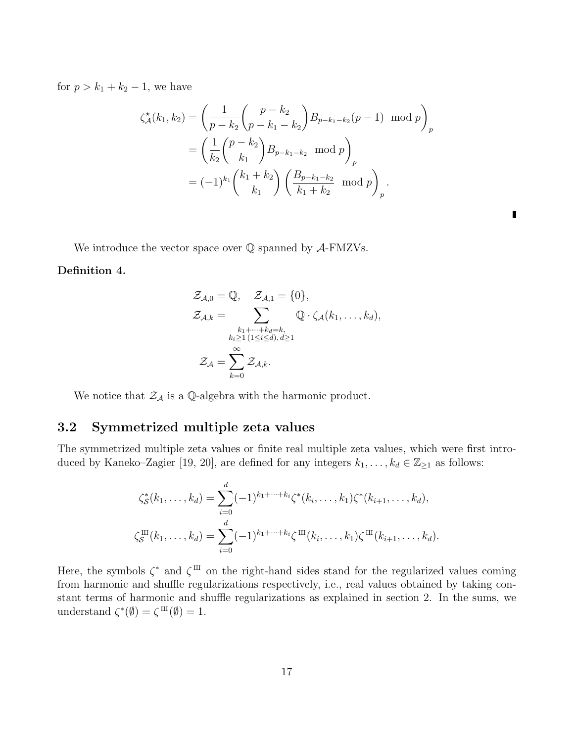for  $p > k_1 + k_2 - 1$ , we have

$$
\zeta_{\mathcal{A}}^{\star}(k_{1},k_{2}) = \left(\frac{1}{p-k_{2}}\binom{p-k_{2}}{p-k_{1}-k_{2}}B_{p-k_{1}-k_{2}}(p-1) \mod p\right)_{p}
$$

$$
= \left(\frac{1}{k_{2}}\binom{p-k_{2}}{k_{1}}B_{p-k_{1}-k_{2}} \mod p\right)_{p}
$$

$$
= (-1)^{k_{1}}\binom{k_{1}+k_{2}}{k_{1}}\left(\frac{B_{p-k_{1}-k_{2}}}{k_{1}+k_{2}} \mod p\right)_{p}.
$$

П

We introduce the vector space over Q spanned by *A*-FMZVs.

#### **Definition 4.**

$$
\mathcal{Z}_{\mathcal{A},0} = \mathbb{Q}, \quad \mathcal{Z}_{\mathcal{A},1} = \{0\},
$$

$$
\mathcal{Z}_{\mathcal{A},k} = \sum_{\substack{k_1 + \dots + k_d = k, \\ k_i \ge 1 \ (1 \le i \le d), d \ge 1}} \mathbb{Q} \cdot \zeta_{\mathcal{A}}(k_1, \dots, k_d),
$$

$$
\mathcal{Z}_{\mathcal{A}} = \sum_{k=0}^{\infty} \mathcal{Z}_{\mathcal{A},k}.
$$

We notice that  $\mathcal{Z}_\mathcal{A}$  is a Q-algebra with the harmonic product.

## **3.2 Symmetrized multiple zeta values**

The symmetrized multiple zeta values or finite real multiple zeta values, which were first introduced by Kaneko–Zagier [19, 20], are defined for any integers  $k_1, \ldots, k_d \in \mathbb{Z}_{\geq 1}$  as follows:

$$
\zeta_{\mathcal{S}}^{*}(k_{1},\ldots,k_{d}) = \sum_{i=0}^{d} (-1)^{k_{1}+\cdots+k_{i}} \zeta^{*}(k_{i},\ldots,k_{1}) \zeta^{*}(k_{i+1},\ldots,k_{d}),
$$
  

$$
\zeta_{\mathcal{S}}^{\text{III}}(k_{1},\ldots,k_{d}) = \sum_{i=0}^{d} (-1)^{k_{1}+\cdots+k_{i}} \zeta^{\text{III}}(k_{i},\ldots,k_{1}) \zeta^{\text{III}}(k_{i+1},\ldots,k_{d}).
$$

Here, the symbols  $\zeta^*$  and  $\zeta^{\text{III}}$  on the right-hand sides stand for the regularized values coming from harmonic and shuffle regularizations respectively, i.e., real values obtained by taking constant terms of harmonic and shuffle regularizations as explained in section 2. In the sums, we understand  $\zeta^*(\emptyset) = \zeta^{\text{III}}(\emptyset) = 1.$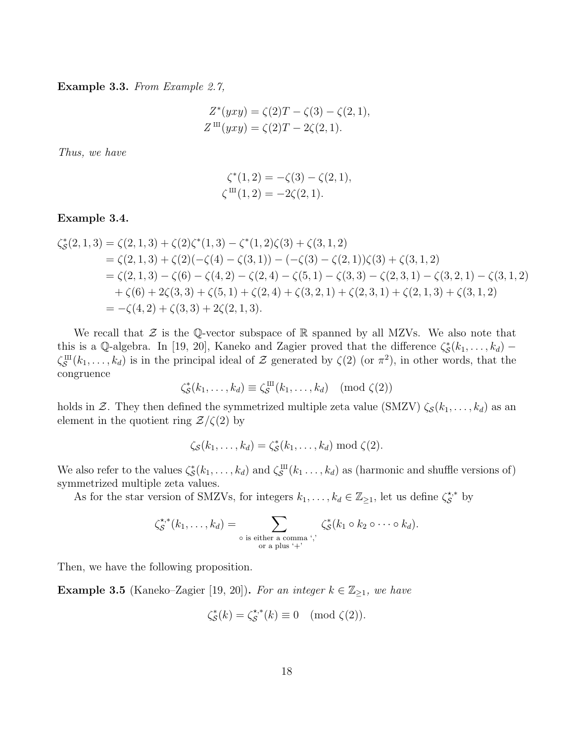**Example 3.3.** *From Example 2.7,*

$$
Z^*(yxy) = \zeta(2)T - \zeta(3) - \zeta(2, 1),
$$
  
\n
$$
Z^{\text{III}}(yxy) = \zeta(2)T - 2\zeta(2, 1).
$$

*Thus, we have*

$$
\zeta^*(1,2) = -\zeta(3) - \zeta(2,1), \n\zeta^{\text{III}}(1,2) = -2\zeta(2,1).
$$

## **Example 3.4.**

$$
\begin{aligned}\n\zeta_{\mathcal{S}}^{*}(2,1,3) &= \zeta(2,1,3) + \zeta(2)\zeta^{*}(1,3) - \zeta^{*}(1,2)\zeta(3) + \zeta(3,1,2) \\
&= \zeta(2,1,3) + \zeta(2)(-\zeta(4) - \zeta(3,1)) - (-\zeta(3) - \zeta(2,1))\zeta(3) + \zeta(3,1,2) \\
&= \zeta(2,1,3) - \zeta(6) - \zeta(4,2) - \zeta(2,4) - \zeta(5,1) - \zeta(3,3) - \zeta(2,3,1) - \zeta(3,2,1) - \zeta(3,1,2) \\
&+ \zeta(6) + 2\zeta(3,3) + \zeta(5,1) + \zeta(2,4) + \zeta(3,2,1) + \zeta(2,3,1) + \zeta(2,1,3) + \zeta(3,1,2) \\
&= -\zeta(4,2) + \zeta(3,3) + 2\zeta(2,1,3).\n\end{aligned}
$$

We recall that  $\mathcal Z$  is the Q-vector subspace of  $\mathbb R$  spanned by all MZVs. We also note that this is a Q-algebra. In [19, 20], Kaneko and Zagier proved that the difference  $\zeta_{\mathcal{S}}^{*}(k_1,\ldots,k_d)$  – *ζ* X  $S^{\text{III}}(k_1,\ldots,k_d)$  is in the principal ideal of *Z* generated by  $\zeta(2)$  (or  $\pi^2$ ), in other words, that the congruence

$$
\zeta_{\mathcal{S}}^*(k_1,\ldots,k_d) \equiv \zeta_{\mathcal{S}}^{\mathrm{III}}(k_1,\ldots,k_d) \pmod{\zeta(2)}
$$

holds in *Z*. They then defined the symmetrized multiple zeta value (SMZV)  $\zeta_{\mathcal{S}}(k_1, \ldots, k_d)$  as an element in the quotient ring  $\mathcal{Z}/\zeta(2)$  by

$$
\zeta_{\mathcal{S}}(k_1,\ldots,k_d)=\zeta_{\mathcal{S}}^*(k_1,\ldots,k_d)\bmod{\zeta(2)}.
$$

We also refer to the values  $\zeta_{\mathcal{S}}^*(k_1,\ldots,k_d)$  and  $\zeta_{\mathcal{S}}^{\text{III}}$  $S(S^{\text{III}}(k_1 \ldots, k_d))$  as (harmonic and shuffle versions of) symmetrized multiple zeta values.

As for the star version of SMZVs, for integers  $k_1, \ldots, k_d \in \mathbb{Z}_{\geq 1}$ , let us define  $\zeta_{\mathcal{S}}^{*,*}$  by

$$
\zeta_{\mathcal{S}}^{\star,*}(k_1,\ldots,k_d)=\sum_{\substack{\circ \text{ is either a comma }^{\star},\\ \text{or a plus }^{\star}+^{\star}}}\zeta_{\mathcal{S}}^*(k_1\circ k_2\circ\cdots\circ k_d).
$$

Then, we have the following proposition.

**Example 3.5** (Kaneko–Zagier [19, 20]). For an integer  $k \in \mathbb{Z}_{\geq 1}$ , we have

$$
\zeta_{\mathcal{S}}^*(k) = \zeta_{\mathcal{S}}^{\star,*}(k) \equiv 0 \pmod{\zeta(2)}.
$$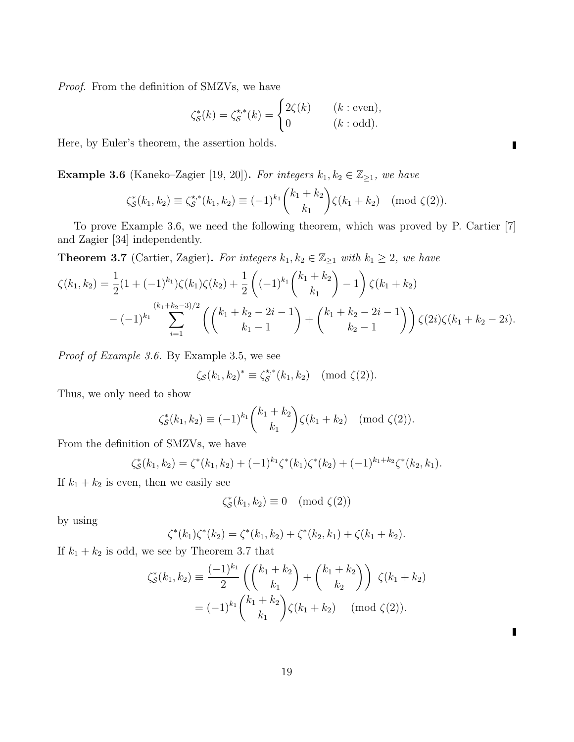*Proof.* From the definition of SMZVs, we have

$$
\zeta_{\mathcal{S}}^*(k) = \zeta_{\mathcal{S}}^{\star,*}(k) = \begin{cases} 2\zeta(k) & (k:\text{even}), \\ 0 & (k:\text{odd}). \end{cases}
$$

Here, by Euler's theorem, the assertion holds.

**Example 3.6** (Kaneko–Zagier [19, 20]). *For integers*  $k_1, k_2 \in \mathbb{Z}_{\geq 1}$ *, we have* 

$$
\zeta_{\mathcal{S}}^*(k_1, k_2) \equiv \zeta_{\mathcal{S}}^{*,*}(k_1, k_2) \equiv (-1)^{k_1} \binom{k_1 + k_2}{k_1} \zeta(k_1 + k_2) \pmod{\zeta(2)}.
$$

To prove Example 3.6, we need the following theorem, which was proved by P. Cartier [7] and Zagier [34] independently.

**Theorem 3.7** (Cartier, Zagier). For integers  $k_1, k_2 \in \mathbb{Z}_{\geq 1}$  with  $k_1 \geq 2$ , we have

$$
\zeta(k_1, k_2) = \frac{1}{2} (1 + (-1)^{k_1}) \zeta(k_1) \zeta(k_2) + \frac{1}{2} \left( (-1)^{k_1} \binom{k_1 + k_2}{k_1} - 1 \right) \zeta(k_1 + k_2)
$$
  

$$
- (-1)^{k_1} \sum_{i=1}^{(k_1 + k_2 - 3)/2} \left( \binom{k_1 + k_2 - 2i - 1}{k_1 - 1} + \binom{k_1 + k_2 - 2i - 1}{k_2 - 1} \right) \zeta(2i) \zeta(k_1 + k_2 - 2i).
$$

*Proof of Example 3.6.* By Example 3.5, we see

$$
\zeta_{\mathcal{S}}(k_1,k_2)^* \equiv \zeta_{\mathcal{S}}^{\star,*}(k_1,k_2) \pmod{\zeta(2)}.
$$

Thus, we only need to show

$$
\zeta_{\mathcal{S}}^*(k_1, k_2) \equiv (-1)^{k_1} \binom{k_1 + k_2}{k_1} \zeta(k_1 + k_2) \pmod{\zeta(2)}.
$$

From the definition of SMZVs, we have

$$
\zeta_{\mathcal{S}}^*(k_1,k_2) = \zeta^*(k_1,k_2) + (-1)^{k_1} \zeta^*(k_1) \zeta^*(k_2) + (-1)^{k_1+k_2} \zeta^*(k_2,k_1).
$$

If  $k_1 + k_2$  is even, then we easily see

$$
\zeta_{\mathcal{S}}^*(k_1, k_2) \equiv 0 \pmod{\zeta(2)}
$$

by using

$$
\zeta^*(k_1)\zeta^*(k_2) = \zeta^*(k_1,k_2) + \zeta^*(k_2,k_1) + \zeta(k_1+k_2).
$$

If  $k_1 + k_2$  is odd, we see by Theorem 3.7 that

$$
\zeta_{\mathcal{S}}^{*}(k_{1}, k_{2}) \equiv \frac{(-1)^{k_{1}}}{2} \left( \binom{k_{1} + k_{2}}{k_{1}} + \binom{k_{1} + k_{2}}{k_{2}} \right) \zeta(k_{1} + k_{2})
$$

$$
= (-1)^{k_{1}} \binom{k_{1} + k_{2}}{k_{1}} \zeta(k_{1} + k_{2}) \pmod{\zeta(2)}.
$$

 $\blacksquare$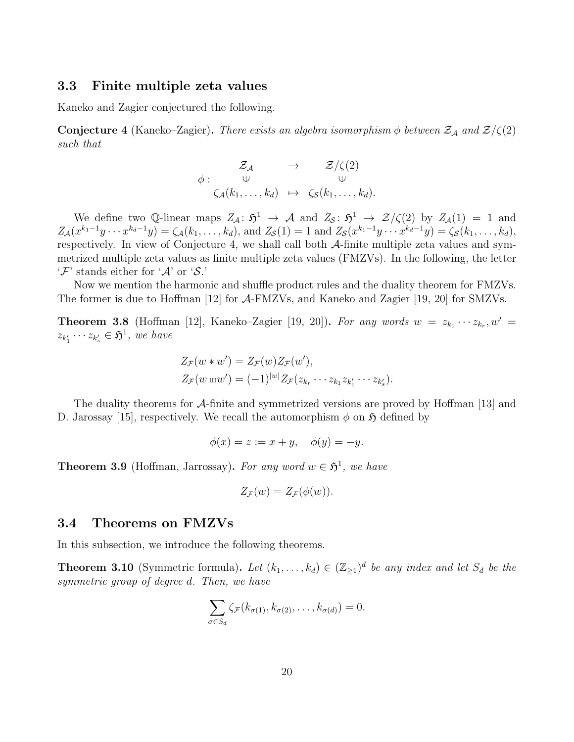## **3.3 Finite multiple zeta values**

Kaneko and Zagier conjectured the following.

**Conjecture 4** (Kaneko–Zagier). *There exists an algebra isomorphism*  $\phi$  *between*  $\mathcal{Z}_\mathcal{A}$  *and*  $\mathcal{Z}/\zeta(2)$ *such that*

$$
\begin{array}{ccc}\n\mathcal{Z}_{\mathcal{A}} & \to & \mathcal{Z}/\zeta(2) \\
\phi: & \cup & \cup \\
\zeta_{\mathcal{A}}(k_1,\ldots,k_d) & \mapsto & \zeta_{\mathcal{S}}(k_1,\ldots,k_d).\n\end{array}
$$

We define two Q-linear maps  $Z_A: \mathfrak{H}^1 \to \mathcal{A}$  and  $Z_S: \mathfrak{H}^1 \to \mathcal{Z}/\zeta(2)$  by  $Z_A(1) = 1$  and  $Z_{\mathcal{A}}(x^{k_1-1}y \cdots x^{k_d-1}y) = \zeta_{\mathcal{A}}(k_1, \ldots, k_d)$ , and  $Z_{\mathcal{S}}(1) = 1$  and  $Z_{\mathcal{S}}(x^{k_1-1}y \cdots x^{k_d-1}y) = \zeta_{\mathcal{S}}(k_1, \ldots, k_d)$ , respectively. In view of Conjecture 4, we shall call both *A*-finite multiple zeta values and symmetrized multiple zeta values as finite multiple zeta values (FMZVs). In the following, the letter '*F*' stands either for '*A*' or '*S*.'

Now we mention the harmonic and shuffle product rules and the duality theorem for FMZVs. The former is due to Hoffman [12] for *A*-FMZVs, and Kaneko and Zagier [19, 20] for SMZVs.

**Theorem 3.8** (Hoffman [12], Kaneko–Zagier [19, 20]). For any words  $w = z_{k_1} \cdots z_{k_r}$ ,  $w' =$  $z_{k'_1} \cdots z_{k'_s} \in \mathfrak{H}^1$ , we have

$$
Z_{\mathcal{F}}(w*w') = Z_{\mathcal{F}}(w) Z_{\mathcal{F}}(w'),
$$
  
\n
$$
Z_{\mathcal{F}}(w \bmod v') = (-1)^{|w|} Z_{\mathcal{F}}(z_{k_r} \cdots z_{k_1} z_{k'_1} \cdots z_{k'_s}).
$$

The duality theorems for *A*-finite and symmetrized versions are proved by Hoffman [13] and D. Jarossay [15], respectively. We recall the automorphism  $\phi$  on  $\tilde{\mathfrak{H}}$  defined by

$$
\phi(x) = z := x + y, \quad \phi(y) = -y.
$$

**Theorem 3.9** (Hoffman, Jarrossay). For any word  $w \in \mathfrak{H}^1$ , we have

$$
Z_{\mathcal{F}}(w)=Z_{\mathcal{F}}(\phi(w)).
$$

## **3.4 Theorems on FMZVs**

In this subsection, we introduce the following theorems.

**Theorem 3.10** (Symmetric formula). Let  $(k_1, \ldots, k_d) \in (\mathbb{Z}_{\geq 1})^d$  be any index and let  $S_d$  be the *symmetric group of degree d. Then, we have*

$$
\sum_{\sigma \in S_d} \zeta_{\mathcal{F}}(k_{\sigma(1)}, k_{\sigma(2)}, \ldots, k_{\sigma(d)}) = 0.
$$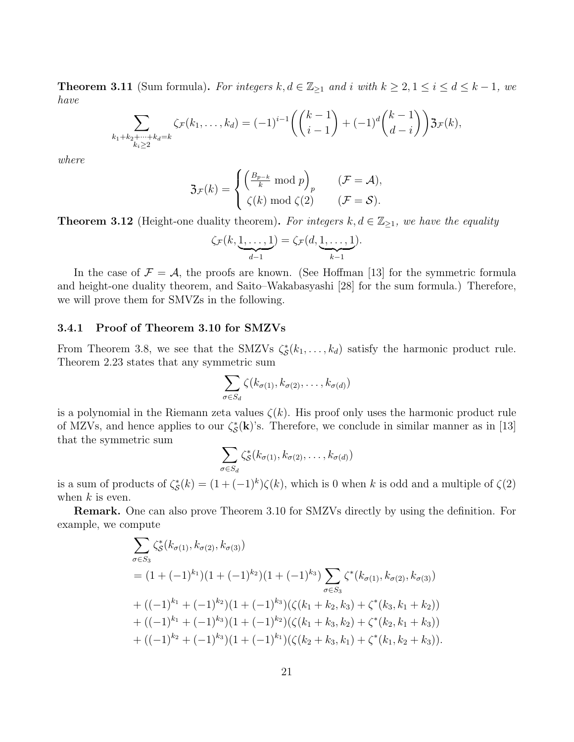**Theorem 3.11** (Sum formula). For integers  $k, d \in \mathbb{Z}_{\geq 1}$  and i with  $k \geq 2, 1 \leq i \leq d \leq k-1$ , we *have*

$$
\sum_{\substack{k_1+k_2+\cdots+k_d=k\\k_i\geq 2}}\zeta_{\mathcal{F}}(k_1,\ldots,k_d) = (-1)^{i-1}\left(\binom{k-1}{i-1}+(-1)^d\binom{k-1}{d-i}\right)\mathfrak{Z}_{\mathcal{F}}(k),
$$

*where*

$$
\mathfrak{Z}_{\mathcal{F}}(k) = \begin{cases} \left(\frac{B_{p-k}}{k} \bmod p\right)_p & (\mathcal{F} = \mathcal{A}), \\ \zeta(k) \bmod \zeta(2) & (\mathcal{F} = \mathcal{S}). \end{cases}
$$

**Theorem 3.12** (Height-one duality theorem). For integers  $k, d \in \mathbb{Z}_{\geq 1}$ , we have the equality

$$
\zeta_{\mathcal{F}}(k,\underbrace{1,\ldots,1}_{d-1})=\zeta_{\mathcal{F}}(d,\underbrace{1,\ldots,1}_{k-1}).
$$

In the case of  $\mathcal{F} = \mathcal{A}$ , the proofs are known. (See Hoffman [13] for the symmetric formula and height-one duality theorem, and Saito–Wakabasyashi [28] for the sum formula.) Therefore, we will prove them for SMVZs in the following.

### **3.4.1 Proof of Theorem 3.10 for SMZVs**

From Theorem 3.8, we see that the SMZVs  $\zeta_{\mathcal{S}}^*(k_1,\ldots,k_d)$  satisfy the harmonic product rule. Theorem 2.23 states that any symmetric sum

$$
\sum_{\sigma \in S_d} \zeta(k_{\sigma(1)}, k_{\sigma(2)}, \ldots, k_{\sigma(d)})
$$

is a polynomial in the Riemann zeta values  $\zeta(k)$ . His proof only uses the harmonic product rule of MZVs, and hence applies to our  $\zeta_{\mathcal{S}}^*(\mathbf{k})$ 's. Therefore, we conclude in similar manner as in [13] that the symmetric sum

$$
\sum_{\sigma \in S_d} \zeta_{\mathcal{S}}^*(k_{\sigma(1)}, k_{\sigma(2)}, \ldots, k_{\sigma(d)})
$$

is a sum of products of  $\zeta_{\mathcal{S}}^*(k) = (1 + (-1)^k)\zeta(k)$ , which is 0 when *k* is odd and a multiple of  $\zeta(2)$ when *k* is even.

**Remark.** One can also prove Theorem 3.10 for SMZVs directly by using the definition. For example, we compute

$$
\sum_{\sigma \in S_3} \zeta_S^*(k_{\sigma(1)}, k_{\sigma(2)}, k_{\sigma(3)})
$$
\n=  $(1 + (-1)^{k_1})(1 + (-1)^{k_2})(1 + (-1)^{k_3}) \sum_{\sigma \in S_3} \zeta^*(k_{\sigma(1)}, k_{\sigma(2)}, k_{\sigma(3)})$   
\n+  $((-1)^{k_1} + (-1)^{k_2})(1 + (-1)^{k_3})(\zeta(k_1 + k_2, k_3) + \zeta^*(k_3, k_1 + k_2))$   
\n+  $((-1)^{k_1} + (-1)^{k_3})(1 + (-1)^{k_2})(\zeta(k_1 + k_3, k_2) + \zeta^*(k_2, k_1 + k_3))$   
\n+  $((-1)^{k_2} + (-1)^{k_3})(1 + (-1)^{k_1})(\zeta(k_2 + k_3, k_1) + \zeta^*(k_1, k_2 + k_3)).$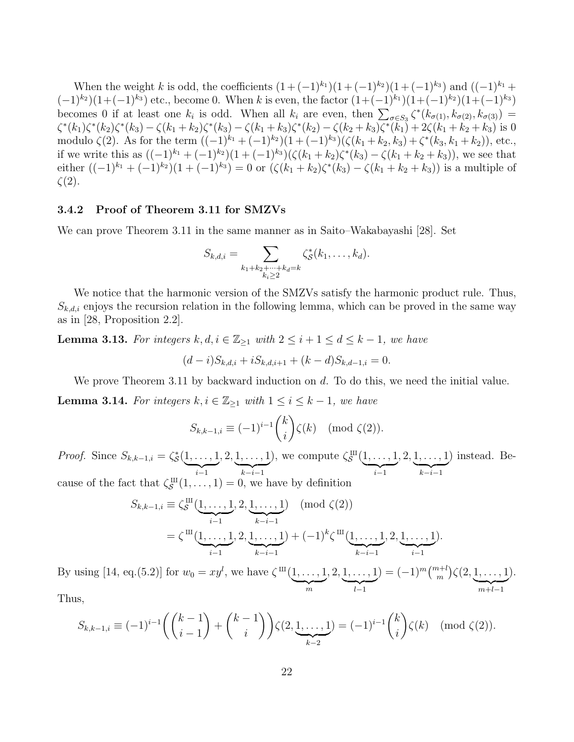When the weight *k* is odd, the coefficients  $(1 + (-1)^{k_1})(1 + (-1)^{k_2})(1 + (-1)^{k_3})$  and  $((-1)^{k_1} + (-1)^{k_2})(1 + (-1)^{k_3})$  $(-1)^{k_2}$  $(1+(-1)^{k_3})$  etc., become 0. When *k* is even, the factor  $(1+(-1)^{k_1})(1+(-1)^{k_2})(1+(-1)^{k_3})$ becomes 0 if at least one  $k_i$  is odd. When all  $k_i$  are even, then  $\sum_{\sigma \in S_3} \zeta^*(k_{\sigma(1)}, k_{\sigma(2)}, k_{\sigma(3)}) =$  $\zeta^*(k_1)\zeta^*(k_2)\zeta^*(k_3) - \zeta(k_1+k_2)\zeta^*(k_3) - \zeta(k_1+k_3)\zeta^*(k_2) - \zeta(k_2+k_3)\zeta^*(k_1) + 2\zeta(k_1+k_2+k_3)$  is 0 modulo *ζ*(2). As for the term  $((-1)^{k_1} + (-1)^{k_2})(1 + (-1)^{k_3})(\zeta(k_1 + k_2, k_3) + \zeta^*(k_3, k_1 + k_2))$ , etc., if we write this as  $((-1)^{k_1} + (-1)^{k_2})(1 + (-1)^{k_3})(\zeta(k_1 + k_2)\zeta^*(k_3) - \zeta(k_1 + k_2 + k_3))$ , we see that either  $((-1)^{k_1} + (-1)^{k_2})(1 + (-1)^{k_3}) = 0$  or  $(\zeta(k_1 + k_2)\zeta^*(k_3) - \zeta(k_1 + k_2 + k_3))$  is a multiple of *ζ*(2).

#### **3.4.2 Proof of Theorem 3.11 for SMZVs**

We can prove Theorem 3.11 in the same manner as in Saito–Wakabayashi [28]. Set

$$
S_{k,d,i} = \sum_{\substack{k_1+k_2+\cdots+k_d=k\\k_i\geq 2}} \zeta_{\mathcal{S}}^*(k_1,\ldots,k_d).
$$

We notice that the harmonic version of the SMZVs satisfy the harmonic product rule. Thus,  $S_{k,d,i}$  enjoys the recursion relation in the following lemma, which can be proved in the same way as in [28, Proposition 2.2].

**Lemma 3.13.** For integers  $k, d, i \in \mathbb{Z}_{\geq 1}$  with  $2 \leq i + 1 \leq d \leq k - 1$ , we have  $(d-i)S_{k,d,i} + iS_{k,d,i+1} + (k-d)S_{k,d-1,i} = 0.$ 

We prove Theorem 3.11 by backward induction on *d*. To do this, we need the initial value.

**Lemma 3.14.** *For integers*  $k, i \in \mathbb{Z}_{\geq 1}$  *with*  $1 \leq i \leq k - 1$ *, we have* 

$$
S_{k,k-1,i} \equiv (-1)^{i-1} \binom{k}{i} \zeta(k) \pmod{\zeta(2)}.
$$

*Proof.* Since  $S_{k,k-1,i} = \zeta_{\mathcal{S}}^*(1, \ldots, 1)$ | {z } *i−*1 *,* 2*,* 1*, . . . ,* 1 | {z } *k−i−*1 ), we compute  $\zeta_{\mathcal{S}}^{\text{III}}$  $\stackrel{\cdot \text{III}}{\mathcal{S}} (1, \ldots, 1)$ | {z } *i−*1 *,* 2*,* 1*, . . . ,* 1 | {z } *k−i−*1 ) instead. Because of the fact that  $\zeta_{\mathcal{S}}^{\text{III}}$  $S^{\text{III}}(1,\ldots,1)=0$ , we have by definition

$$
S_{k,k-1,i} \equiv \zeta \zeta^{\text{III}}(\underbrace{1,\ldots,1}_{i-1},2,\underbrace{1,\ldots,1}_{k-i-1}) \pmod{\zeta(2)}
$$
  
=  $\zeta^{\text{III}}(\underbrace{1,\ldots,1}_{i-1},2,\underbrace{1,\ldots,1}_{k-i-1}) + (-1)^k \zeta^{\text{III}}(\underbrace{1,\ldots,1}_{k-i-1},2,\underbrace{1,\ldots,1}_{i-1}).$ 

By using [14, eq.(5.2)] for  $w_0 = xy^l$ , we have  $\zeta^{\text{III}}(1, ..., 1)$  $\sum_{m}$ *,* 2*,* 1*, . . . ,* 1 | {z } *l−*1  $) = (-1)^m {m+l \choose m}$   $\zeta(2, 1, \ldots, 1)$ | {z } *m*+*l−*1 ).

Thus,

$$
S_{k,k-1,i} \equiv (-1)^{i-1} \left( \binom{k-1}{i-1} + \binom{k-1}{i} \right) \zeta(2, \underbrace{1, \ldots, 1}_{k-2}) = (-1)^{i-1} \binom{k}{i} \zeta(k) \pmod{\zeta(2)}.
$$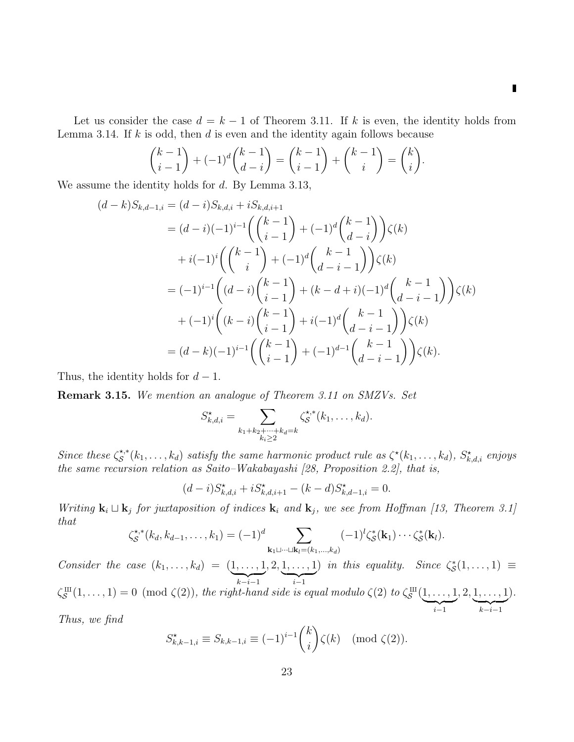$\blacksquare$ 

Let us consider the case  $d = k - 1$  of Theorem 3.11. If k is even, the identity holds from Lemma 3.14. If *k* is odd, then *d* is even and the identity again follows because

$$
\binom{k-1}{i-1} + (-1)^d \binom{k-1}{d-i} = \binom{k-1}{i-1} + \binom{k-1}{i} = \binom{k}{i}.
$$

We assume the identity holds for *d*. By Lemma 3.13,

$$
(d-k)S_{k,d-1,i} = (d-i)S_{k,d,i} + iS_{k,d,i+1}
$$
  
\n
$$
= (d-i)(-1)^{i-1} \left( {k-1 \choose i-1} + (-1)^d {k-1 \choose d-i} \right) \zeta(k)
$$
  
\n
$$
+ i(-1)^i \left( {k-1 \choose i} + (-1)^d {k-1 \choose d-i-1} \right) \zeta(k)
$$
  
\n
$$
= (-1)^{i-1} \left( (d-i) {k-1 \choose i-1} + (k-d+i)(-1)^d {k-1 \choose d-i-1} \right) \zeta(k)
$$
  
\n
$$
+ (-1)^i \left( (k-i) {k-1 \choose i-1} + i(-1)^d {k-1 \choose d-i-1} \right) \zeta(k)
$$
  
\n
$$
= (d-k)(-1)^{i-1} \left( {k-1 \choose i-1} + (-1)^{d-1} {k-1 \choose d-i-1} \right) \zeta(k).
$$

Thus, the identity holds for *d −* 1.

**Remark 3.15.** *We mention an analogue of Theorem 3.11 on SMZVs. Set*

$$
S_{k,d,i}^{\star} = \sum_{\substack{k_1+k_2+\cdots+k_d=k\\k_i\geq 2}} \zeta_{\mathcal{S}}^{\star,*}(k_1,\ldots,k_d).
$$

*Since these*  $\zeta_{\mathcal{S}}^{\star,*}$  $S^*(k_1, \ldots, k_d)$  *satisfy the same harmonic product rule as*  $\zeta^*(k_1, \ldots, k_d)$ *,*  $S^*_{k,d,i}$  *enjoys the same recursion relation as Saito–Wakabayashi [28, Proposition 2.2], that is,*

$$
(d-i)S_{k,d,i}^* + iS_{k,d,i+1}^* - (k-d)S_{k,d-1,i}^* = 0.
$$

*Writing*  $\mathbf{k}_i \sqcup \mathbf{k}_j$  *for juxtaposition of indices*  $\mathbf{k}_i$  *and*  $\mathbf{k}_j$ *, we see from Hoffman [13, Theorem 3.1] that*

$$
\zeta_{\mathcal{S}}^{\star,*}(k_d, k_{d-1}, \ldots, k_1) = (-1)^d \sum_{\mathbf{k}_1 \sqcup \cdots \sqcup \mathbf{k}_l = (k_1, \ldots, k_d)} (-1)^l \zeta_{\mathcal{S}}^*(\mathbf{k}_1) \cdots \zeta_{\mathcal{S}}^*(\mathbf{k}_l).
$$

*Consider the case*  $(k_1, ..., k_d) = (1, ..., 1)$ | {z } *k−i−*1 *,* 2*,* 1*, . . . ,* 1 | {z } *i−*1 *) in this equality. Since*  $\zeta^*_{\mathcal{S}}(1,\ldots,1) \equiv$ *ζ* X  $S^{\text{III}}(1,\ldots,1) = 0 \pmod{\zeta(2)}$ , the right-hand side is equal modulo  $\zeta(2)$  to  $\zeta_{\mathcal{S}}^{\text{III}}$  $\stackrel{\text{III}}{\mathcal{S}}(1,\ldots,1)$ | {z } *i−*1 *,* 2*,* 1*, . . . ,* 1 | {z } *k−i−*1 )*.*

*Thus, we find*

$$
S_{k,k-1,i}^{\star} \equiv S_{k,k-1,i} \equiv (-1)^{i-1} \binom{k}{i} \zeta(k) \pmod{\zeta(2)}.
$$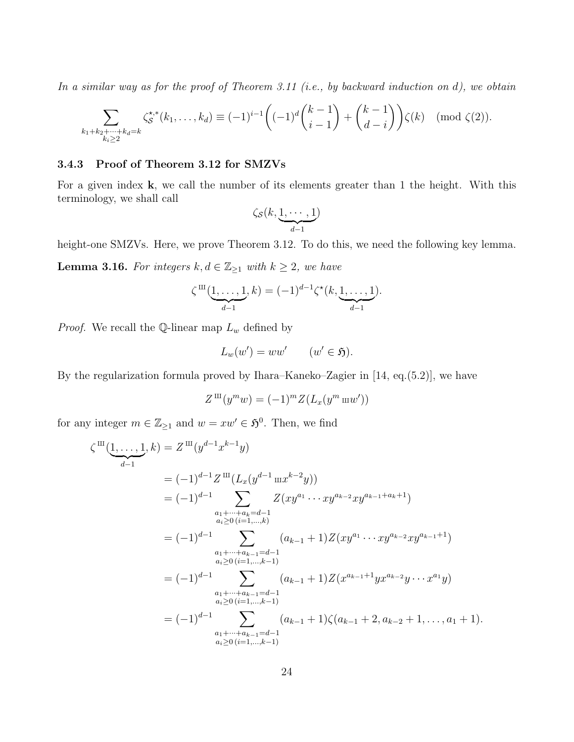*In a similar way as for the proof of Theorem 3.11 (i.e., by backward induction on d), we obtain*

$$
\sum_{\substack{k_1+k_2+\dots+k_d=k\\k_i\geq 2}} \zeta^{\star,\ast}_{\mathcal{S}}(k_1,\dots,k_d) \equiv (-1)^{i-1} \left( (-1)^d \binom{k-1}{i-1} + \binom{k-1}{d-i} \right) \zeta(k) \pmod{\zeta(2)}.
$$

## **3.4.3 Proof of Theorem 3.12 for SMZVs**

For a given index **k**, we call the number of its elements greater than 1 the height. With this terminology, we shall call

$$
\zeta_{\mathcal{S}}(k,\underbrace{1,\cdots,1}_{d-1})
$$

height-one SMZVs. Here, we prove Theorem 3.12. To do this, we need the following key lemma.

**Lemma 3.16.** *For integers*  $k, d \in \mathbb{Z}_{\geq 1}$  *with*  $k \geq 2$ *, we have* 

$$
\zeta^{III}(\underbrace{1,\ldots,1}_{d-1},k) = (-1)^{d-1} \zeta^{\star}(k,\underbrace{1,\ldots,1}_{d-1}).
$$

*Proof.* We recall the  $\mathbb{Q}$ -linear map  $L_w$  defined by

$$
L_w(w') = ww' \qquad (w' \in \mathfrak{H}).
$$

By the regularization formula proved by Ihara–Kaneko–Zagier in [14, eq.(5.2)], we have

$$
Z^{\mathrm{III}}(y^m w) = (-1)^m Z(L_x(y^m w w'))
$$

for any integer  $m \in \mathbb{Z}_{\geq 1}$  and  $w = xw' \in \mathfrak{H}^0$ . Then, we find

$$
\zeta^{\text{III}}(\underbrace{1,\ldots,1}_{d-1},k) = Z^{\text{III}}(y^{d-1}x^{k-1}y)
$$
\n
$$
= (-1)^{d-1}Z^{\text{III}}(L_x(y^{d-1}\max^{k-2}y))
$$
\n
$$
= (-1)^{d-1}\sum_{\substack{a_1+\cdots+a_k=d-1\\a_i\geq 0 \ (i=1,\ldots,k)}} Z(xy^{a_1}\cdots xy^{a_{k-2}}xy^{a_{k-1}+a_k+1})
$$
\n
$$
= (-1)^{d-1}\sum_{\substack{a_1+\cdots+a_{k-1}=d-1\\a_i\geq 0 \ (i=1,\ldots,k-1)}} (a_{k-1}+1)Z(xy^{a_1}\cdots xy^{a_{k-2}}xy^{a_{k-1}+1})
$$
\n
$$
= (-1)^{d-1}\sum_{\substack{a_1+\cdots+a_{k-1}=d-1\\a_i\geq 0 \ (i=1,\ldots,k-1)}} (a_{k-1}+1)Z(x^{a_{k-1}+1}yx^{a_{k-2}}y\cdots x^{a_1}y)
$$
\n
$$
= (-1)^{d-1}\sum_{\substack{a_1+\cdots+a_{k-1}=d-1\\a_i\geq 0 \ (i=1,\ldots,k-1)}} (a_{k-1}+1)\zeta(a_{k-1}+2,a_{k-2}+1,\ldots,a_1+1).
$$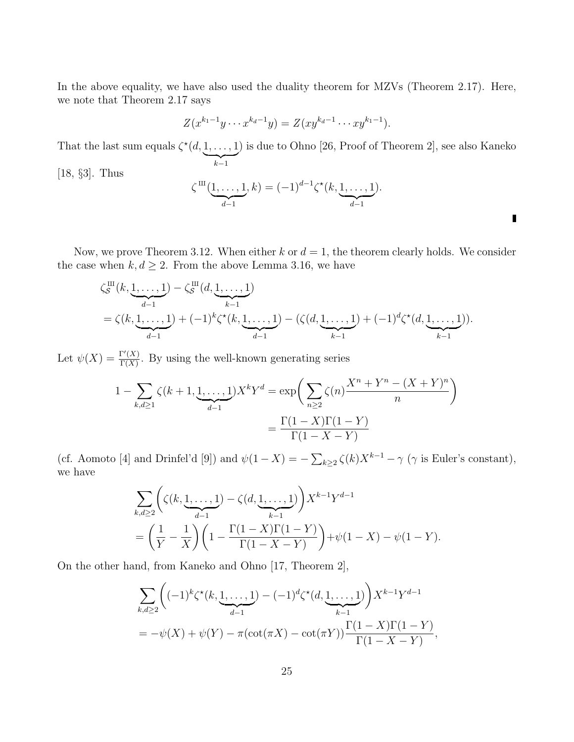In the above equality, we have also used the duality theorem for MZVs (Theorem 2.17). Here, we note that Theorem 2.17 says

$$
Z(x^{k_1-1}y \cdots x^{k_d-1}y) = Z(xy^{k_d-1} \cdots xy^{k_1-1}).
$$

That the last sum equals  $\zeta^*(d, 1, \ldots, 1)$ | {z } *k−*1 ) is due to Ohno [26, Proof of Theorem 2], see also Kaneko

[18, *§*3]. Thus

$$
\zeta^{III}(\underbrace{1,\ldots,1}_{d-1},k) = (-1)^{d-1} \zeta^{\star}(k,\underbrace{1,\ldots,1}_{d-1}).
$$

Γ

Now, we prove Theorem 3.12. When either  $k$  or  $d = 1$ , the theorem clearly holds. We consider the case when  $k, d \geq 2$ . From the above Lemma 3.16, we have

$$
\zeta_S^{\text{III}}(k, \underbrace{1, \ldots, 1}_{d-1}) - \zeta_S^{\text{III}}(d, \underbrace{1, \ldots, 1}_{k-1})
$$
\n
$$
= \zeta(k, \underbrace{1, \ldots, 1}_{d-1}) + (-1)^k \zeta^*(k, \underbrace{1, \ldots, 1}_{d-1}) - (\zeta(d, \underbrace{1, \ldots, 1}_{k-1}) + (-1)^d \zeta^*(d, \underbrace{1, \ldots, 1}_{k-1})).
$$

Let  $\psi(X) = \frac{\Gamma'(X)}{\Gamma(X)}$  $\frac{\Gamma(X)}{\Gamma(X)}$ . By using the well-known generating series

$$
1 - \sum_{k,d \ge 1} \zeta(k+1, \underbrace{1, \dots, 1}_{d-1}) X^k Y^d = \exp\left(\sum_{n \ge 2} \zeta(n) \frac{X^n + Y^n - (X+Y)^n}{n}\right)
$$

$$
= \frac{\Gamma(1-X)\Gamma(1-Y)}{\Gamma(1-X-Y)}
$$

(cf. Aomoto [4] and Drinfel'd [9]) and  $\psi(1 - X) = -\sum_{k \geq 2} \zeta(k) X^{k-1} - \gamma$  ( $\gamma$  is Euler's constant), we have

$$
\sum_{k,d\geq 2} \left( \zeta(k, \underbrace{1, \dots, 1}_{d-1}) - \zeta(d, \underbrace{1, \dots, 1}_{k-1}) \right) X^{k-1} Y^{d-1}
$$
\n
$$
= \left( \frac{1}{Y} - \frac{1}{X} \right) \left( 1 - \frac{\Gamma(1-X)\Gamma(1-Y)}{\Gamma(1-X-Y)} \right) + \psi(1-X) - \psi(1-Y).
$$

On the other hand, from Kaneko and Ohno [17, Theorem 2],

$$
\sum_{k,d\geq 2} \left( (-1)^k \zeta^*(k, \underbrace{1, \dots, 1}_{d-1}) - (-1)^d \zeta^*(d, \underbrace{1, \dots, 1}_{k-1}) \right) X^{k-1} Y^{d-1}
$$
\n
$$
= -\psi(X) + \psi(Y) - \pi (\cot(\pi X) - \cot(\pi Y)) \frac{\Gamma(1 - X)\Gamma(1 - Y)}{\Gamma(1 - X - Y)},
$$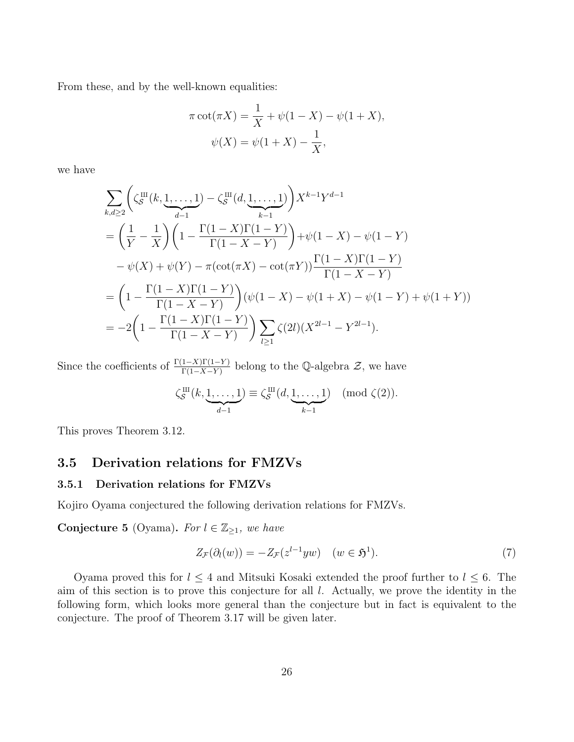From these, and by the well-known equalities:

$$
\pi \cot(\pi X) = \frac{1}{X} + \psi(1 - X) - \psi(1 + X),
$$

$$
\psi(X) = \psi(1 + X) - \frac{1}{X},
$$

we have

$$
\sum_{k,d\geq 2} \left( \zeta_S^{\text{III}}(k, \underbrace{1, \ldots, 1}_{d-1}) - \zeta_S^{\text{III}}(d, \underbrace{1, \ldots, 1}_{k-1}) \right) X^{k-1} Y^{d-1}
$$
\n
$$
= \left( \frac{1}{Y} - \frac{1}{X} \right) \left( 1 - \frac{\Gamma(1-X)\Gamma(1-Y)}{\Gamma(1-X-Y)} \right) + \psi(1-X) - \psi(1-Y)
$$
\n
$$
- \psi(X) + \psi(Y) - \pi(\cot(\pi X) - \cot(\pi Y)) \frac{\Gamma(1-X)\Gamma(1-Y)}{\Gamma(1-X-Y)}
$$
\n
$$
= \left( 1 - \frac{\Gamma(1-X)\Gamma(1-Y)}{\Gamma(1-X-Y)} \right) (\psi(1-X) - \psi(1+X) - \psi(1-Y) + \psi(1+Y))
$$
\n
$$
= -2 \left( 1 - \frac{\Gamma(1-X)\Gamma(1-Y)}{\Gamma(1-X-Y)} \right) \sum_{l\geq 1} \zeta(2l)(X^{2l-1} - Y^{2l-1}).
$$

Since the coefficients of  $\frac{\Gamma(1-X)\Gamma(1-Y)}{\Gamma(1-X-Y)}$  belong to the Q-algebra  $\mathcal{Z}$ , we have

$$
\zeta_{\mathcal{S}}^{\text{III}}(k, \underbrace{1, \ldots, 1}_{d-1}) \equiv \zeta_{\mathcal{S}}^{\text{III}}(d, \underbrace{1, \ldots, 1}_{k-1}) \pmod{\zeta(2)}.
$$

This proves Theorem 3.12.

## **3.5 Derivation relations for FMZVs**

## **3.5.1 Derivation relations for FMZVs**

Kojiro Oyama conjectured the following derivation relations for FMZVs.

**Conjecture 5** (Oyama). For  $l \in \mathbb{Z}_{\geq 1}$ , we have

$$
Z_{\mathcal{F}}(\partial_l(w)) = -Z_{\mathcal{F}}(z^{l-1}yw) \quad (w \in \mathfrak{H}^1). \tag{7}
$$

Oyama proved this for  $l \leq 4$  and Mitsuki Kosaki extended the proof further to  $l \leq 6$ . The aim of this section is to prove this conjecture for all *l*. Actually, we prove the identity in the following form, which looks more general than the conjecture but in fact is equivalent to the conjecture. The proof of Theorem 3.17 will be given later.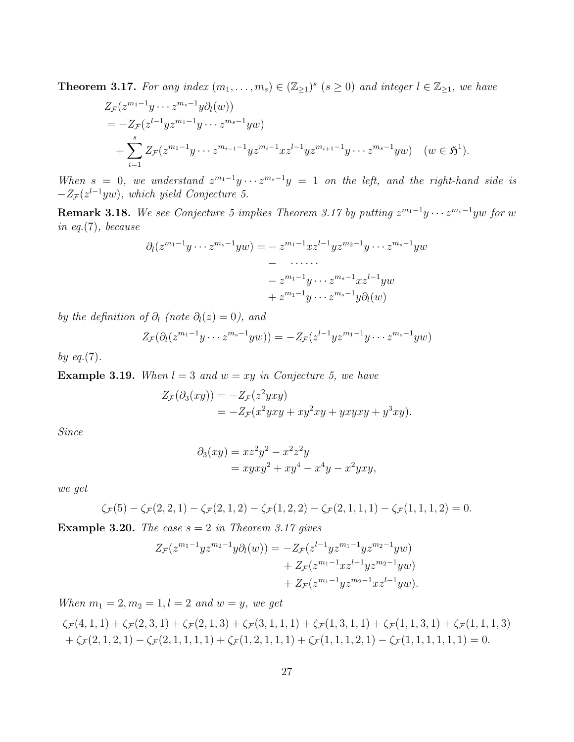**Theorem 3.17.** For any index  $(m_1, \ldots, m_s) \in (\mathbb{Z}_{\geq 1})^s$   $(s \geq 0)$  and integer  $l \in \mathbb{Z}_{\geq 1}$ , we have

$$
Z_{\mathcal{F}}(z^{m_1-1}y\cdots z^{m_s-1}y\partial_l(w))
$$
  
=  $-Z_{\mathcal{F}}(z^{l-1}yz^{m_1-1}y\cdots z^{m_s-1}yw)$   
+  $\sum_{i=1}^s Z_{\mathcal{F}}(z^{m_1-1}y\cdots z^{m_{i-1}-1}yz^{m_i-1}xz^{l-1}yz^{m_{i+1}-1}y\cdots z^{m_s-1}yw)$   $(w \in \mathfrak{H}^1).$ 

*When*  $s = 0$ , we understand  $z^{m_1-1}y \cdots z^{m_s-1}y = 1$  on the left, and the right-hand side is *−Z<sup>F</sup>* (*z l−*1 *yw*)*, which yield Conjecture 5.*

**Remark 3.18.** We see Conjecture 5 implies Theorem 3.17 by putting  $z^{m_1-1}y \cdots z^{m_s-1}yw$  for  $w$ *in eq.*(7)*, because*

$$
\partial_l(z^{m_1-1}y\cdots z^{m_s-1}yw) = -z^{m_1-1}xz^{l-1}yz^{m_2-1}y\cdots z^{m_s-1}yw
$$

$$
-\cdots
$$

$$
-z^{m_1-1}y\cdots z^{m_s-1}xz^{l-1}yw
$$

$$
+z^{m_1-1}y\cdots z^{m_s-1}y\partial_l(w)
$$

*by the definition of*  $\partial_l$  (note  $\partial_l(z) = 0$ ), and

$$
Z_{\mathcal{F}}(\partial_l(z^{m_1-1}y\cdots z^{m_s-1}yw))=-Z_{\mathcal{F}}(z^{l-1}yz^{m_1-1}y\cdots z^{m_s-1}yw)
$$

*by eq.*(7)*.*

**Example 3.19.** *When*  $l = 3$  *and*  $w = xy$  *in Conjecture 5, we have* 

$$
Z_{\mathcal{F}}(\partial_3(xy)) = -Z_{\mathcal{F}}(z^2yxy)
$$
  
= 
$$
-Z_{\mathcal{F}}(x^2yxy + xy^2xy + yxyxy + y^3xy).
$$

*Since*

$$
\partial_3(xy) = xz^2y^2 - x^2z^2y
$$
  
=  $xyxy^2 + xy^4 - x^4y - x^2yxy$ ,

*we get*

$$
\zeta_{\mathcal{F}}(5) - \zeta_{\mathcal{F}}(2,2,1) - \zeta_{\mathcal{F}}(2,1,2) - \zeta_{\mathcal{F}}(1,2,2) - \zeta_{\mathcal{F}}(2,1,1,1) - \zeta_{\mathcal{F}}(1,1,1,2) = 0.
$$

**Example 3.20.** *The case*  $s = 2$  *in Theorem 3.17 gives* 

$$
Z_{\mathcal{F}}(z^{m_1-1}yz^{m_2-1}y\partial_l(w)) = -Z_{\mathcal{F}}(z^{l-1}yz^{m_1-1}yz^{m_2-1}yw) + Z_{\mathcal{F}}(z^{m_1-1}xz^{l-1}yz^{m_2-1}yw) + Z_{\mathcal{F}}(z^{m_1-1}yz^{m_2-1}xz^{l-1}yw).
$$

*When*  $m_1 = 2, m_2 = 1, l = 2$  *and*  $w = y$ *, we get* 

$$
\zeta_{\mathcal{F}}(4,1,1) + \zeta_{\mathcal{F}}(2,3,1) + \zeta_{\mathcal{F}}(2,1,3) + \zeta_{\mathcal{F}}(3,1,1,1) + \zeta_{\mathcal{F}}(1,3,1,1) + \zeta_{\mathcal{F}}(1,1,3,1) + \zeta_{\mathcal{F}}(1,1,1,3) + \zeta_{\mathcal{F}}(2,1,2,1) - \zeta_{\mathcal{F}}(2,1,1,1,1) + \zeta_{\mathcal{F}}(1,2,1,1,1) + \zeta_{\mathcal{F}}(1,1,1,2,1) - \zeta_{\mathcal{F}}(1,1,1,1,1,1) = 0.
$$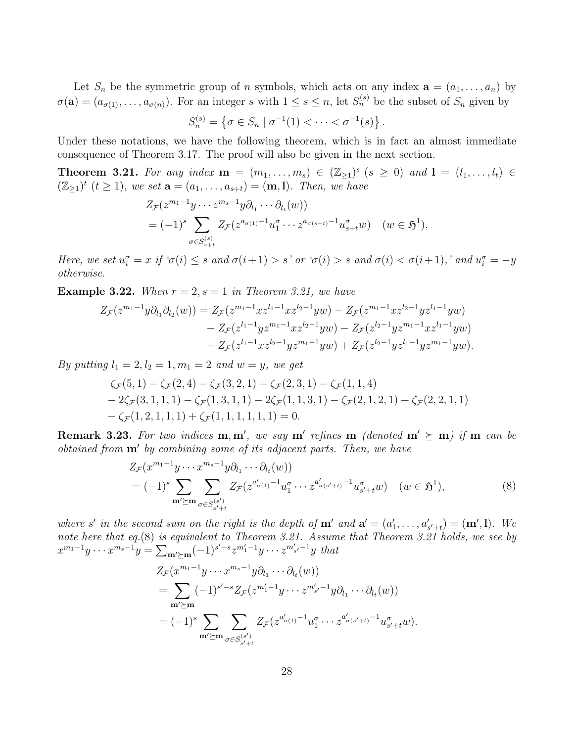Let  $S_n$  be the symmetric group of *n* symbols, which acts on any index  $\mathbf{a} = (a_1, \ldots, a_n)$  by  $\sigma(\mathbf{a}) = (a_{\sigma(1)}, \ldots, a_{\sigma(n)})$ . For an integer *s* with  $1 \leq s \leq n$ , let  $S_n^{(s)}$  be the subset of  $S_n$  given by

$$
S_n^{(s)} = \{ \sigma \in S_n \mid \sigma^{-1}(1) < \cdots < \sigma^{-1}(s) \}.
$$

Under these notations, we have the following theorem, which is in fact an almost immediate consequence of Theorem 3.17. The proof will also be given in the next section.

**Theorem 3.21.** For any index **m** =  $(m_1, ..., m_s)$  ∈  $(\mathbb{Z}_{\geq 1})^s$  ( $s \geq 0$ ) and **l** =  $(l_1, ..., l_t)$  ∈  $(\mathbb{Z}_{\geq 1})^t$   $(t \geq 1)$ *, we set*  $\mathbf{a} = (a_1, \ldots, a_{s+t}) = (\mathbf{m}, \mathbf{l})$ *. Then, we have* 

$$
Z_{\mathcal{F}}(z^{m_1-1}y \cdots z^{m_s-1}y \partial_{l_1} \cdots \partial_{l_t}(w))
$$
  
=  $(-1)^s \sum_{\sigma \in S_{s+t}^{(s)}} Z_{\mathcal{F}}(z^{a_{\sigma(1)}-1} u_1^{\sigma} \cdots z^{a_{\sigma(s+t)}-1} u_{s+t}^{\sigma} w) \quad (w \in \mathfrak{H}^1).$ 

Here, we set  $u_i^{\sigma} = x$  if  $\sigma(i) \leq s$  and  $\sigma(i+1) > s'$  or  $\sigma(i) > s$  and  $\sigma(i) < \sigma(i+1)$ , and  $u_i^{\sigma} = -y$ *otherwise.*

**Example 3.22.** *When*  $r = 2$ ,  $s = 1$  *in Theorem 3.21, we have* 

$$
Z_{\mathcal{F}}(z^{m_1-1}y\partial_{l_1}\partial_{l_2}(w)) = Z_{\mathcal{F}}(z^{m_1-1}xz^{l_1-1}xz^{l_2-1}yw) - Z_{\mathcal{F}}(z^{m_1-1}xz^{l_2-1}yz^{l_1-1}yw) - Z_{\mathcal{F}}(z^{l_1-1}yz^{m_1-1}xz^{l_2-1}yw) - Z_{\mathcal{F}}(z^{l_2-1}yz^{m_1-1}xz^{l_1-1}yw) - Z_{\mathcal{F}}(z^{l_1-1}xz^{l_2-1}yz^{m_1-1}yw) + Z_{\mathcal{F}}(z^{l_2-1}yz^{l_1-1}yz^{m_1-1}yw).
$$

*By putting*  $l_1 = 2, l_2 = 1, m_1 = 2$  *and*  $w = y$ *, we get* 

$$
\zeta_{\mathcal{F}}(5,1) - \zeta_{\mathcal{F}}(2,4) - \zeta_{\mathcal{F}}(3,2,1) - \zeta_{\mathcal{F}}(2,3,1) - \zeta_{\mathcal{F}}(1,1,4) - 2\zeta_{\mathcal{F}}(3,1,1,1) - \zeta_{\mathcal{F}}(1,3,1,1) - 2\zeta_{\mathcal{F}}(1,1,3,1) - \zeta_{\mathcal{F}}(2,1,2,1) + \zeta_{\mathcal{F}}(2,2,1,1) -\zeta_{\mathcal{F}}(1,2,1,1,1) + \zeta_{\mathcal{F}}(1,1,1,1,1,1) = 0.
$$

**Remark 3.23.** For two indices  $\mathbf{m}, \mathbf{m}'$ , we say  $\mathbf{m}'$  refines  $\mathbf{m}$  (denoted  $\mathbf{m}' \succeq \mathbf{m}$ ) if  $\mathbf{m}$  can be *obtained from* **m***′ by combining some of its adjacent parts. Then, we have*

$$
Z_{\mathcal{F}}(x^{m_1-1}y \cdots x^{m_s-1}y \partial_{l_1} \cdots \partial_{l_t}(w))
$$
  
=  $(-1)^s \sum_{\mathbf{m}' \succeq \mathbf{m}} \sum_{\sigma \in S_{s'+t}^{(s')}} Z_{\mathcal{F}}(z^{a'_{\sigma(1)}-1} u_1^{\sigma} \cdots z^{a'_{\sigma(s'+t)}-1} u_{s'+t}^{\sigma} w) \quad (w \in \mathfrak{H}^1),$  (8)

where s' in the second sum on the right is the depth of  $\mathbf{m}'$  and  $\mathbf{a}' = (a'_1, \ldots, a'_{s'+t}) = (\mathbf{m}', \mathbf{l})$ . We *note here that eq.*(8) *is equivalent to Theorem 3.21. Assume that Theorem 3.21 holds, we see by*  $x^{m_1-1}y \cdots x^{m_s-1}y = \sum_{m' \succeq m} (-1)^{s'-s} z^{m'_1-1}y \cdots z^{m'_{s'}-1}y$  that

$$
Z_{\mathcal{F}}(x^{m_1-1}y\cdots x^{m_s-1}y\partial_{l_1}\cdots\partial_{l_t}(w))
$$
  
= 
$$
\sum_{\mathbf{m}'\succeq\mathbf{m}}(-1)^{s'-s}Z_{\mathcal{F}}(z^{m'_1-1}y\cdots z^{m'_{s'}-1}y\partial_{l_1}\cdots\partial_{l_t}(w))
$$
  
= 
$$
(-1)^s\sum_{\mathbf{m}'\succeq\mathbf{m}}\sum_{\sigma\in S_{s'+t}^{(s')}}Z_{\mathcal{F}}(z^{a'_{\sigma(1)}-1}u_1^{\sigma}\cdots z^{a'_{\sigma(s'+t)}-1}u_{s'+t}^{\sigma}w).
$$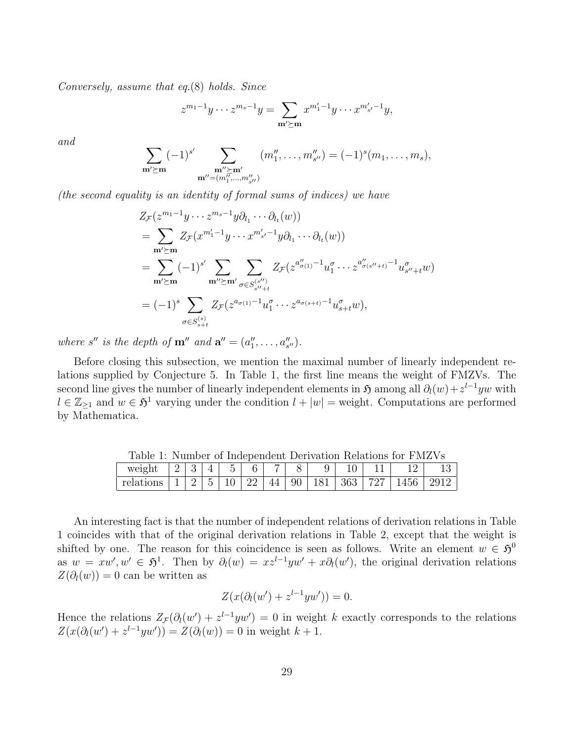*Conversely, assume that eq.*(8) *holds. Since*

$$
z^{m_1-1}y\cdots z^{m_s-1}y=\sum_{\mathbf{m}'\succeq\mathbf{m}}x^{m'_1-1}y\cdots x^{m'_{s'}-1}y,
$$

*and*

$$
\sum_{\substack{\mathbf{m}' \succeq \mathbf{m} \\ \mathbf{m}'' = (m''_1, \dots, m''_{s''})}} (-1)^{s'} \sum_{\substack{\mathbf{m}'' \succeq \mathbf{m}' \\ \mathbf{m}'' = (m''_1, \dots, m''_{s''})}} (m''_1, \dots, m''_{s''}) = (-1)^s (m_1, \dots, m_s),
$$

*(the second equality is an identity of formal sums of indices) we have*

$$
Z_{\mathcal{F}}(z^{m_1-1}y \cdots z^{m_s-1}y\partial_{l_1}\cdots \partial_{l_t}(w))
$$
  
= 
$$
\sum_{\mathbf{m'}\succeq\mathbf{m}} Z_{\mathcal{F}}(x^{m'_1-1}y \cdots x^{m'_{s'}-1}y\partial_{l_1}\cdots \partial_{l_t}(w))
$$
  
= 
$$
\sum_{\mathbf{m'}\succeq\mathbf{m}} (-1)^{s'} \sum_{\mathbf{m''}\succeq\mathbf{m'}} \sum_{\sigma \in S_{s''+t}^{(s'')}} Z_{\mathcal{F}}(z^{a'_{\sigma(1)}-1}u_1^{\sigma} \cdots z^{a'_{\sigma(s''+t)}-1}u_{s''+t}^{\sigma}w)
$$
  
= 
$$
(-1)^s \sum_{\sigma \in S_{s+t}^{(s)}} Z_{\mathcal{F}}(z^{a_{\sigma(1)}-1}u_1^{\sigma} \cdots z^{a_{\sigma(s+t)}-1}u_{s+t}^{\sigma}w),
$$

*where s'' is the depth of*  $\mathbf{m}''$  *and*  $\mathbf{a}'' = (a''_1, \ldots, a''_{s''}).$ 

Before closing this subsection, we mention the maximal number of linearly independent relations supplied by Conjecture 5. In Table 1, the first line means the weight of FMZVs. The second line gives the number of linearly independent elements in  $\mathfrak{H}$  among all  $\partial_l(w) + z^{l-1}yw$  with  $l \in \mathbb{Z}_{\geq 1}$  and  $w \in \mathfrak{H}^1$  varying under the condition  $l + |w|$  = weight. Computations are performed by Mathematica.

|                                                                           | Table 1. Number of independent Derivation Relations for FMZVS |  |  |  |  |  |  |  |  |  |           |        |  |
|---------------------------------------------------------------------------|---------------------------------------------------------------|--|--|--|--|--|--|--|--|--|-----------|--------|--|
|                                                                           |                                                               |  |  |  |  |  |  |  |  |  | $11$ $12$ | - 13 I |  |
| relations   1   2   5   10   22   44   90   181   363   727   1456   2912 |                                                               |  |  |  |  |  |  |  |  |  |           |        |  |

Table 1: Number of Independent Derivation Relations for FMZVs

An interesting fact is that the number of independent relations of derivation relations in Table 1 coincides with that of the original derivation relations in Table 2, except that the weight is shifted by one. The reason for this coincidence is seen as follows. Write an element  $w \in \mathfrak{H}^0$ as  $w = xw', w' \in \mathfrak{H}^1$ . Then by  $\partial_l(w) = xz^{l-1}yw' + x\partial_l(w')$ , the original derivation relations  $Z(\partial_l(w)) = 0$  can be written as

$$
Z(x(\partial_l(w') + z^{l-1}yw')) = 0.
$$

Hence the relations  $Z_{\mathcal{F}}(\partial_l(w') + z^{l-1}yw') = 0$  in weight *k* exactly corresponds to the relations  $Z(x(\partial_l(w') + z^{l-1}yw')) = Z(\partial_l(w)) = 0$  in weight  $k + 1$ .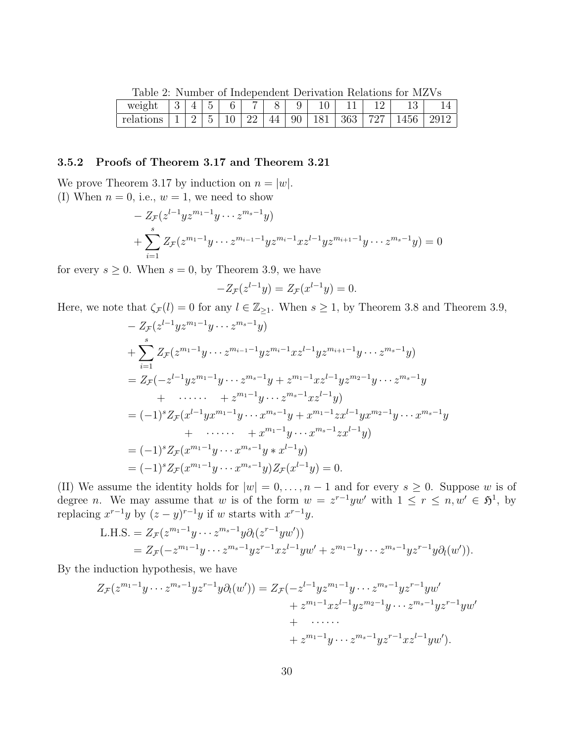Table 2: Number of Independent Derivation Relations for MZVs

| weight    | ບ |                          | $\tilde{\phantom{a}}$<br>∽      | ⌒ | _        |    | ◡                        | $\sim$<br>TÛ |     | $\sim$   | ⊥∪   |            |
|-----------|---|--------------------------|---------------------------------|---|----------|----|--------------------------|--------------|-----|----------|------|------------|
| relations |   | $\overline{\phantom{0}}$ | $\tilde{\phantom{a}}$<br>h<br>◡ |   | າາ<br>↵↵ | 44 | $\sim$ $\sim$<br>90<br>◡ | -            | 363 | דהי<br>∠ | 1456 | 2012<br>⊿ປ |

## **3.5.2 Proofs of Theorem 3.17 and Theorem 3.21**

We prove Theorem 3.17 by induction on  $n = |w|$ . (I) When  $n = 0$ , i.e.,  $w = 1$ , we need to show

$$
- Z_{\mathcal{F}}(z^{l-1} y z^{m_1-1} y \cdots z^{m_s-1} y)
$$
  
+ 
$$
\sum_{i=1}^s Z_{\mathcal{F}}(z^{m_1-1} y \cdots z^{m_{i-1}-1} y z^{m_i-1} x z^{l-1} y z^{m_{i+1}-1} y \cdots z^{m_s-1} y) = 0
$$

for every  $s \geq 0$ . When  $s = 0$ , by Theorem 3.9, we have

$$
-Z_{\mathcal{F}}(z^{l-1}y) = Z_{\mathcal{F}}(x^{l-1}y) = 0.
$$

Here, we note that  $\zeta_{\mathcal{F}}(l) = 0$  for any  $l \in \mathbb{Z}_{\geq 1}$ . When  $s \geq 1$ , by Theorem 3.8 and Theorem 3.9,

$$
- Z_{\mathcal{F}}(z^{l-1}yz^{m_1-1}y \cdots z^{m_s-1}y)
$$
  
+ 
$$
\sum_{i=1}^{s} Z_{\mathcal{F}}(z^{m_1-1}y \cdots z^{m_{i-1}-1}yz^{m_i-1}xz^{l-1}yz^{m_{i+1}-1}y \cdots z^{m_s-1}y)
$$
  
= 
$$
Z_{\mathcal{F}}(-z^{l-1}yz^{m_1-1}y \cdots z^{m_s-1}y + z^{m_1-1}xz^{l-1}yz^{m_2-1}y \cdots z^{m_s-1}y
$$
  
+ 
$$
\cdots \cdots + z^{m_1-1}y \cdots z^{m_s-1}xz^{l-1}y
$$
  
= 
$$
(-1)^s Z_{\mathcal{F}}(x^{l-1}yx^{m_1-1}y \cdots x^{m_s-1}y + x^{m_1-1}zx^{l-1}yx^{m_2-1}y \cdots x^{m_s-1}y
$$
  
+ 
$$
\cdots \cdots + x^{m_1-1}y \cdots x^{m_s-1}zx^{l-1}y)
$$
  
= 
$$
(-1)^s Z_{\mathcal{F}}(x^{m_1-1}y \cdots x^{m_s-1}y * x^{l-1}y)
$$
  
= 
$$
(-1)^s Z_{\mathcal{F}}(x^{m_1-1}y \cdots x^{m_s-1}y) Z_{\mathcal{F}}(x^{l-1}y) = 0.
$$

(II) We assume the identity holds for  $|w| = 0, \ldots, n-1$  and for every  $s \geq 0$ . Suppose *w* is of degree *n*. We may assume that *w* is of the form  $w = z^{r-1}yw'$  with  $1 \le r \le n, w' \in \mathfrak{H}^1$ , by replacing  $x^{r-1}y$  by  $(z - y)^{r-1}y$  if *w* starts with  $x^{r-1}y$ .

L.H.S. = 
$$
Z_{\mathcal{F}}(z^{m_1-1}y \cdots z^{m_s-1}y \partial_l(z^{r-1}yw'))
$$
  
=  $Z_{\mathcal{F}}(-z^{m_1-1}y \cdots z^{m_s-1}yz^{r-1}xz^{l-1}yw' + z^{m_1-1}y \cdots z^{m_s-1}yz^{r-1}y \partial_l(w')).$ 

By the induction hypothesis, we have

$$
Z_{\mathcal{F}}(z^{m_1-1}y\cdots z^{m_s-1}yz^{r-1}y\partial_l(w')) = Z_{\mathcal{F}}(-z^{l-1}yz^{m_1-1}y\cdots z^{m_s-1}yz^{r-1}yw'+ z^{m_1-1}xz^{l-1}yz^{m_2-1}y\cdots z^{m_s-1}yz^{r-1}yw'+ \cdots \cdots+ z^{m_1-1}y\cdots z^{m_s-1}yz^{r-1}xz^{l-1}yw').
$$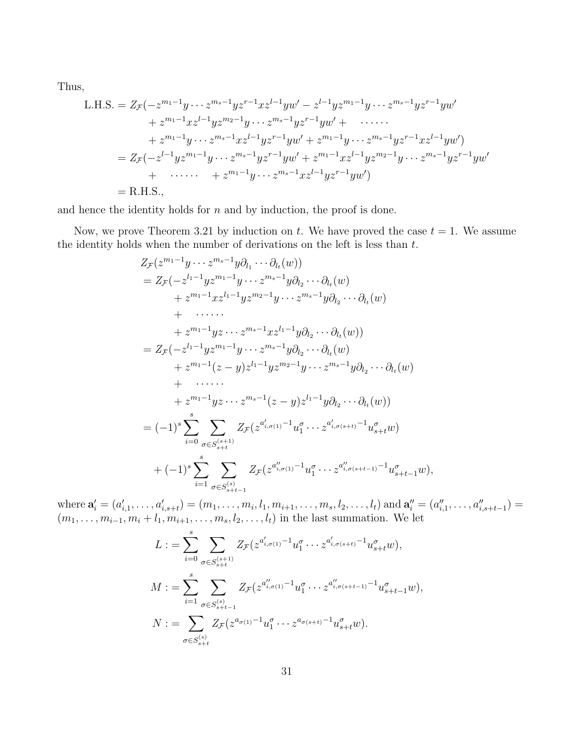Thus,

L.H.S. = 
$$
Z_{\mathcal{F}}(-z^{m_1-1}y \cdots z^{m_s-1}yz^{r-1}xz^{l-1}yw' - z^{l-1}yz^{m_1-1}y \cdots z^{m_s-1}yz^{r-1}yw'
$$
  
\t $+ z^{m_1-1}xz^{l-1}yz^{m_2-1}y \cdots z^{m_s-1}yz^{r-1}yw' + \cdots$   
\t $+ z^{m_1-1}y \cdots z^{m_s-1}xz^{l-1}yz^{r-1}yw' + z^{m_1-1}y \cdots z^{m_s-1}yz^{r-1}xz^{l-1}yw')$   
\t $= Z_{\mathcal{F}}(-z^{l-1}yz^{m_1-1}y \cdots z^{m_s-1}yz^{r-1}yw' + z^{m_1-1}xz^{l-1}yz^{m_2-1}y \cdots z^{m_s-1}yz^{r-1}yw'$   
\t $+ \cdots \cdots + z^{m_1-1}y \cdots z^{m_s-1}xz^{l-1}yz^{r-1}yw')$   
\t $=$  R.H.S.,

and hence the identity holds for *n* and by induction, the proof is done.

Now, we prove Theorem 3.21 by induction on *t*. We have proved the case  $t = 1$ . We assume the identity holds when the number of derivations on the left is less than *t*.

$$
Z_{\mathcal{F}}(z^{m_1-1}y\cdots z^{m_s-1}y\partial_{l_1}\cdots\partial_{l_t}(w))
$$
  
\n
$$
=Z_{\mathcal{F}}(-z^{l_1-1}yz^{m_1-1}y\cdots z^{m_s-1}y\partial_{l_2}\cdots\partial_{l_t}(w)
$$
  
\n
$$
+z^{m_1-1}xz^{l_1-1}yz^{m_2-1}y\cdots z^{m_s-1}y\partial_{l_2}\cdots\partial_{l_t}(w)
$$
  
\n
$$
+ \cdots \cdots
$$
  
\n
$$
+z^{m_1-1}yz\cdots z^{m_s-1}xz^{l_1-1}y\partial_{l_2}\cdots\partial_{l_t}(w)
$$
  
\n
$$
=Z_{\mathcal{F}}(-z^{l_1-1}yz^{m_1-1}y\cdots z^{m_s-1}y\partial_{l_2}\cdots\partial_{l_t}(w)
$$
  
\n
$$
+z^{m_1-1}(z-y)z^{l_1-1}yz^{m_2-1}y\cdots z^{m_s-1}y\partial_{l_2}\cdots\partial_{l_t}(w)
$$
  
\n
$$
+ \cdots \cdots
$$
  
\n
$$
+z^{m_1-1}yz\cdots z^{m_s-1}(z-y)z^{l_1-1}y\partial_{l_2}\cdots\partial_{l_t}(w)
$$
  
\n
$$
= (-1)^s\sum_{i=0}^s\sum_{\sigma\in S_{s+t}^{(s+1)}}Z_{\mathcal{F}}(z^{a'_{i,\sigma(1)}-1}u_1^{\sigma}\cdots z^{a'_{i,\sigma(s+t)}-1}u_{s+t}^{\sigma}w)
$$
  
\n
$$
+ (-1)^s\sum_{i=1}^s\sum_{\sigma\in S_{s+t-1}^{(s)}}Z_{\mathcal{F}}(z^{a''_{i,\sigma(1)}-1}u_1^{\sigma}\cdots z^{a''_{i,\sigma(s+t-1)}-1}u_{s+t-1}^{\sigma}w),
$$

where  $\mathbf{a}'_i = (a'_{i,1}, \ldots, a'_{i,s+t}) = (m_1, \ldots, m_i, l_1, m_{i+1}, \ldots, m_s, l_2, \ldots, l_t)$  and  $\mathbf{a}''_i = (a''_{i,1}, \ldots, a''_{i,s+t-1}) =$  $(m_1, \ldots, m_{i-1}, m_i + l_1, m_{i+1}, \ldots, m_s, l_2, \ldots, l_t)$  in the last summation. We let

$$
L := \sum_{i=0}^{s} \sum_{\sigma \in S_{s+t}^{(s+1)}} Z_{\mathcal{F}}(z^{a'_{i,\sigma(1)}-1} u_1^{\sigma} \cdots z^{a'_{i,\sigma(s+t)}-1} u_{s+t}^{\sigma} w),
$$
  
\n
$$
M := \sum_{i=1}^{s} \sum_{\sigma \in S_{s+t-1}^{(s)}} Z_{\mathcal{F}}(z^{a''_{i,\sigma(1)}-1} u_1^{\sigma} \cdots z^{a''_{i,\sigma(s+t-1)}-1} u_{s+t-1}^{\sigma} w),
$$
  
\n
$$
N := \sum_{\sigma \in S_{s+t}^{(s)}} Z_{\mathcal{F}}(z^{a_{\sigma(1)}-1} u_1^{\sigma} \cdots z^{a_{\sigma(s+t)}-1} u_{s+t}^{\sigma} w).
$$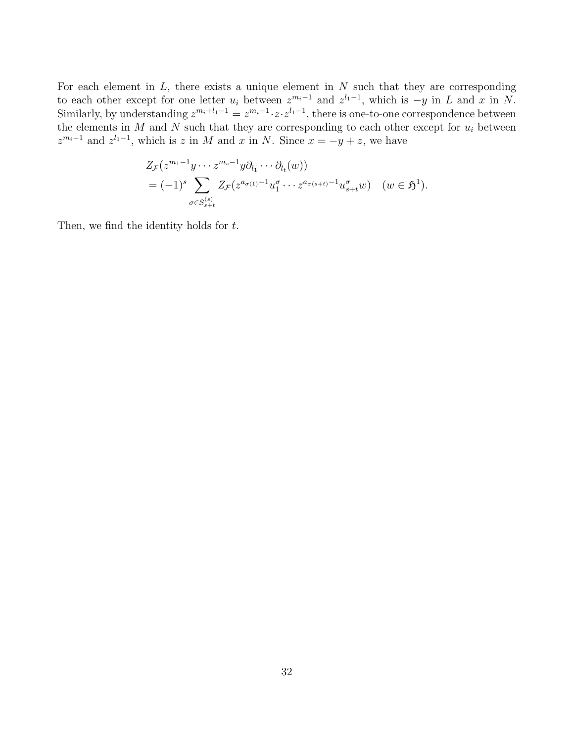For each element in *L*, there exists a unique element in *N* such that they are corresponding to each other except for one letter  $u_i$  between  $z^{m_i-1}$  and  $z^{l_1-1}$ , which is  $-y$  in *L* and *x* in *N*. Similarly, by understanding  $z^{m_i+l_1-1} = z^{m_i-1} \cdot z \cdot z^{l_1-1}$ , there is one-to-one correspondence between the elements in  $M$  and  $N$  such that they are corresponding to each other except for  $u_i$  between  $z^{m_i-1}$  and  $z^{l_1-1}$ , which is *z* in *M* and *x* in *N*. Since  $x = -y + z$ , we have

$$
Z_{\mathcal{F}}(z^{m_1-1}y \cdots z^{m_s-1}y \partial_{l_1} \cdots \partial_{l_t}(w))
$$
  
=  $(-1)^s \sum_{\sigma \in S_{s+t}^{(s)}} Z_{\mathcal{F}}(z^{a_{\sigma(1)}-1} u_1^{\sigma} \cdots z^{a_{\sigma(s+t)}-1} u_{s+t}^{\sigma} w) \quad (w \in \mathfrak{H}^1).$ 

Then, we find the identity holds for *t*.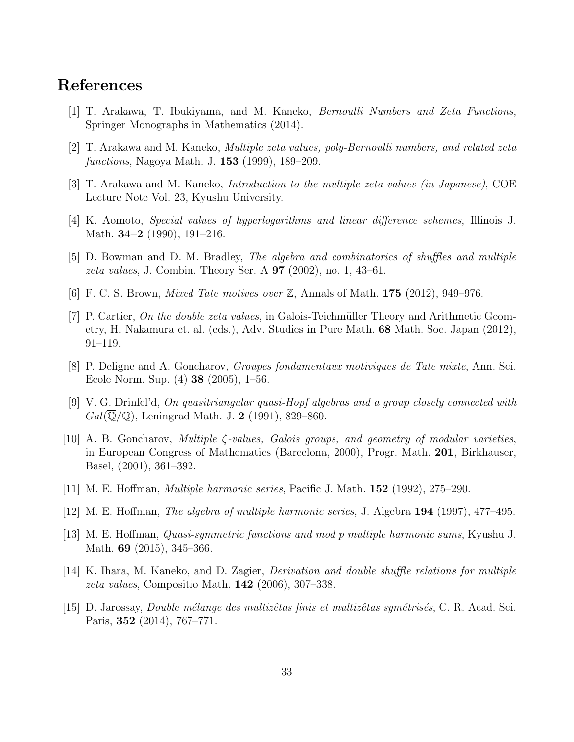# **References**

- [1] T. Arakawa, T. Ibukiyama, and M. Kaneko, *Bernoulli Numbers and Zeta Functions*, Springer Monographs in Mathematics (2014).
- [2] T. Arakawa and M. Kaneko, *Multiple zeta values, poly-Bernoulli numbers, and related zeta functions*, Nagoya Math. J. **153** (1999), 189–209.
- [3] T. Arakawa and M. Kaneko, *Introduction to the multiple zeta values (in Japanese)*, COE Lecture Note Vol. 23, Kyushu University.
- [4] K. Aomoto, *Special values of hyperlogarithms and linear difference schemes*, Illinois J. Math. **34–2** (1990), 191–216.
- [5] D. Bowman and D. M. Bradley, *The algebra and combinatorics of shuffles and multiple zeta values*, J. Combin. Theory Ser. A **97** (2002), no. 1, 43–61.
- [6] F. C. S. Brown, *Mixed Tate motives over* Z, Annals of Math. **175** (2012), 949–976.
- [7] P. Cartier, *On the double zeta values*, in Galois-Teichmüller Theory and Arithmetic Geometry, H. Nakamura et. al. (eds.), Adv. Studies in Pure Math. **68** Math. Soc. Japan (2012), 91–119.
- [8] P. Deligne and A. Goncharov, *Groupes fondamentaux motiviques de Tate mixte*, Ann. Sci. Ecole Norm. Sup. (4) **38** (2005), 1–56.
- [9] V. G. Drinfel'd, *On quasitriangular quasi-Hopf algebras and a group closely connected with Gal*(Q*/*Q), Leningrad Math. J. **2** (1991), 829–860.
- [10] A. B. Goncharov, *Multiple ζ-values, Galois groups, and geometry of modular varieties*, in European Congress of Mathematics (Barcelona, 2000), Progr. Math. **201**, Birkhauser, Basel, (2001), 361–392.
- [11] M. E. Hoffman, *Multiple harmonic series*, Pacific J. Math. **152** (1992), 275–290.
- [12] M. E. Hoffman, *The algebra of multiple harmonic series*, J. Algebra **194** (1997), 477–495.
- [13] M. E. Hoffman, *Quasi-symmetric functions and mod p multiple harmonic sums*, Kyushu J. Math. **69** (2015), 345–366.
- [14] K. Ihara, M. Kaneko, and D. Zagier, *Derivation and double shuffle relations for multiple zeta values*, Compositio Math. **142** (2006), 307–338.
- [15] D. Jarossay, *Double m´elange des multizˆetas finis et multizˆetas sym´etris´es*, C. R. Acad. Sci. Paris, **352** (2014), 767–771.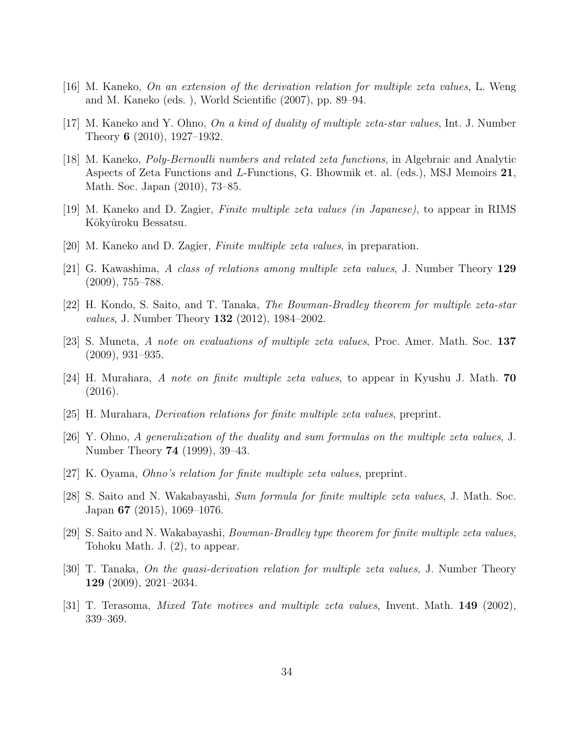- [16] M. Kaneko, *On an extension of the derivation relation for multiple zeta values*, L. Weng and M. Kaneko (eds. ), World Scientific (2007), pp. 89–94.
- [17] M. Kaneko and Y. Ohno, *On a kind of duality of multiple zeta-star values*, Int. J. Number Theory **6** (2010), 1927–1932.
- [18] M. Kaneko, *Poly-Bernoulli numbers and related zeta functions*, in Algebraic and Analytic Aspects of Zeta Functions and *L*-Functions, G. Bhowmik et. al. (eds.), MSJ Memoirs **21**, Math. Soc. Japan (2010), 73–85.
- [19] M. Kaneko and D. Zagier, *Finite multiple zeta values (in Japanese)*, to appear in RIMS Kôkyûroku Bessatsu.
- [20] M. Kaneko and D. Zagier, *Finite multiple zeta values*, in preparation.
- [21] G. Kawashima, *A class of relations among multiple zeta values*, J. Number Theory **129** (2009), 755–788.
- [22] H. Kondo, S. Saito, and T. Tanaka, *The Bowman-Bradley theorem for multiple zeta-star values*, J. Number Theory **132** (2012), 1984–2002.
- [23] S. Muneta, *A note on evaluations of multiple zeta values*, Proc. Amer. Math. Soc. **137** (2009), 931–935.
- [24] H. Murahara, *A note on finite multiple zeta values*, to appear in Kyushu J. Math. **70** (2016).
- [25] H. Murahara, *Derivation relations for finite multiple zeta values*, preprint.
- [26] Y. Ohno, *A generalization of the duality and sum formulas on the multiple zeta values*, J. Number Theory **74** (1999), 39–43.
- [27] K. Oyama, *Ohno's relation for finite multiple zeta values*, preprint.
- [28] S. Saito and N. Wakabayashi, *Sum formula for finite multiple zeta values*, J. Math. Soc. Japan **67** (2015), 1069–1076.
- [29] S. Saito and N. Wakabayashi, *Bowman-Bradley type theorem for finite multiple zeta values*, Tohoku Math. J. (2), to appear.
- [30] T. Tanaka, *On the quasi-derivation relation for multiple zeta values*, J. Number Theory **129** (2009), 2021–2034.
- [31] T. Terasoma, *Mixed Tate motives and multiple zeta values*, Invent. Math. **149** (2002), 339–369.